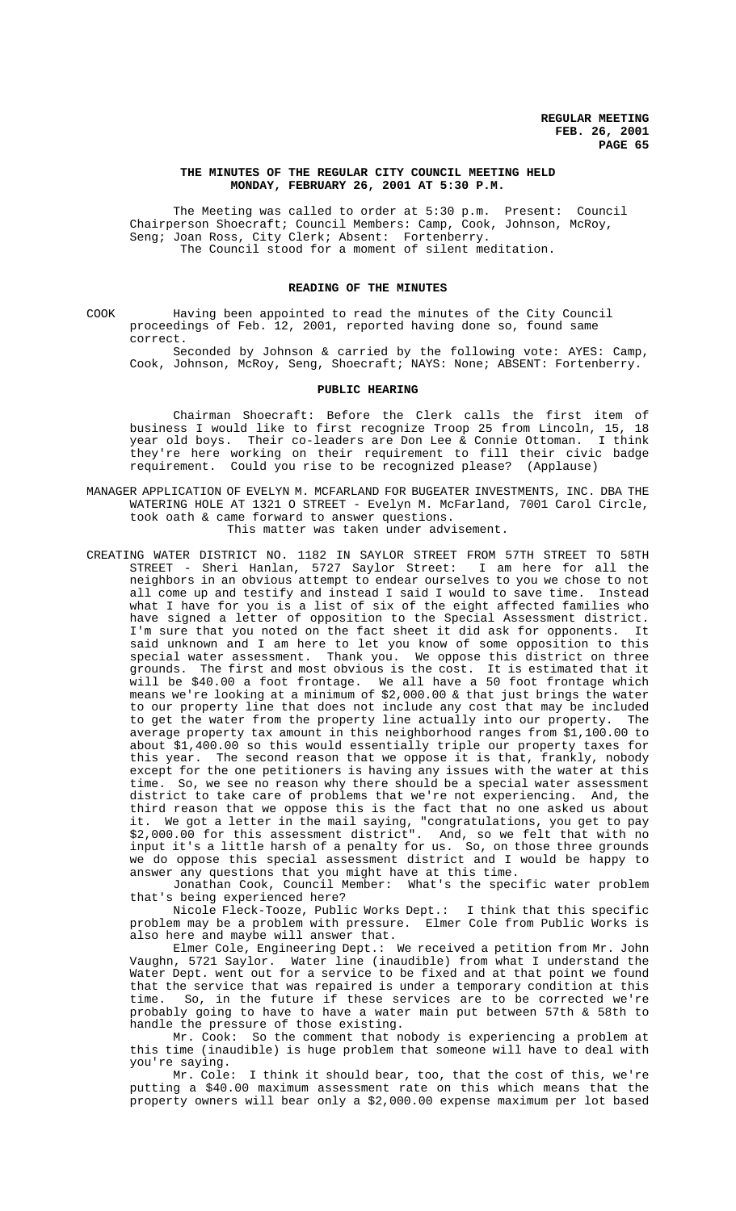#### **THE MINUTES OF THE REGULAR CITY COUNCIL MEETING HELD MONDAY, FEBRUARY 26, 2001 AT 5:30 P.M.**

The Meeting was called to order at 5:30 p.m. Present: Council Chairperson Shoecraft; Council Members: Camp, Cook, Johnson, McRoy, Seng; Joan Ross, City Clerk; Absent: Fortenberry. The Council stood for a moment of silent meditation.

### **READING OF THE MINUTES**

COOK Having been appointed to read the minutes of the City Council proceedings of Feb. 12, 2001, reported having done so, found same correct.

Seconded by Johnson & carried by the following vote: AYES: Camp, Cook, Johnson, McRoy, Seng, Shoecraft; NAYS: None; ABSENT: Fortenberry.

#### **PUBLIC HEARING**

Chairman Shoecraft: Before the Clerk calls the first item of business I would like to first recognize Troop 25 from Lincoln, 15, 18 year old boys. Their co-leaders are Don Lee & Connie Ottoman. I think they're here working on their requirement to fill their civic badge requirement. Could you rise to be recognized please? (Applause)

- MANAGER APPLICATION OF EVELYN M. MCFARLAND FOR BUGEATER INVESTMENTS, INC. DBA THE WATERING HOLE AT 1321 O STREET - Evelyn M. McFarland, 7001 Carol Circle, took oath & came forward to answer questions. This matter was taken under advisement.
- CREATING WATER DISTRICT NO. 1182 IN SAYLOR STREET FROM 57TH STREET TO 58TH STREET - Sheri Hanlan, 5727 Saylor Street: I am here for all the neighbors in an obvious attempt to endear ourselves to you we chose to not all come up and testify and instead I said I would to save time. Instead what I have for you is a list of six of the eight affected families who have signed a letter of opposition to the Special Assessment district. I'm sure that you noted on the fact sheet it did ask for opponents. It said unknown and I am here to let you know of some opposition to this special water assessment. Thank you. We oppose this district on three grounds. The first and most obvious is the cost. It is estimated that it will be \$40.00 a foot frontage. We all have a 50 foot frontage which means we're looking at a minimum of \$2,000.00 & that just brings the water to our property line that does not include any cost that may be included to get the water from the property line actually into our property. The average property tax amount in this neighborhood ranges from \$1,100.00 to about \$1,400.00 so this would essentially triple our property taxes for this year. The second reason that we oppose it is that, frankly, nobody except for the one petitioners is having any issues with the water at this time. So, we see no reason why there should be a special water assessment district to take care of problems that we're not experiencing. And, the third reason that we oppose this is the fact that no one asked us about it. We got a letter in the mail saying, "congratulations, you get to pay \$2,000.00 for this assessment district". And, so we felt that with no input it's a little harsh of a penalty for us. So, on those three grounds we do oppose this special assessment district and I would be happy to answer any questions that you might have at this time.

Jonathan Cook, Council Member: What's the specific water problem that's being experienced here?

Nicole Fleck-Tooze, Public Works Dept.: I think that this specific problem may be a problem with pressure. Elmer Cole from Public Works is also here and maybe will answer that.

Elmer Cole, Engineering Dept.: We received a petition from Mr. John Vaughn, 5721 Saylor. Water line (inaudible) from what I understand the Water Dept. went out for a service to be fixed and at that point we found that the service that was repaired is under a temporary condition at this time. So, in the future if these services are to be corrected we're probably going to have to have a water main put between 57th & 58th to handle the pressure of those existing.

Mr. Cook: So the comment that nobody is experiencing a problem at this time (inaudible) is huge problem that someone will have to deal with

you're saying.<br>Mr. Cole: I think it should bear, too, that the cost of this, we're putting a \$40.00 maximum assessment rate on this which means that the property owners will bear only a \$2,000.00 expense maximum per lot based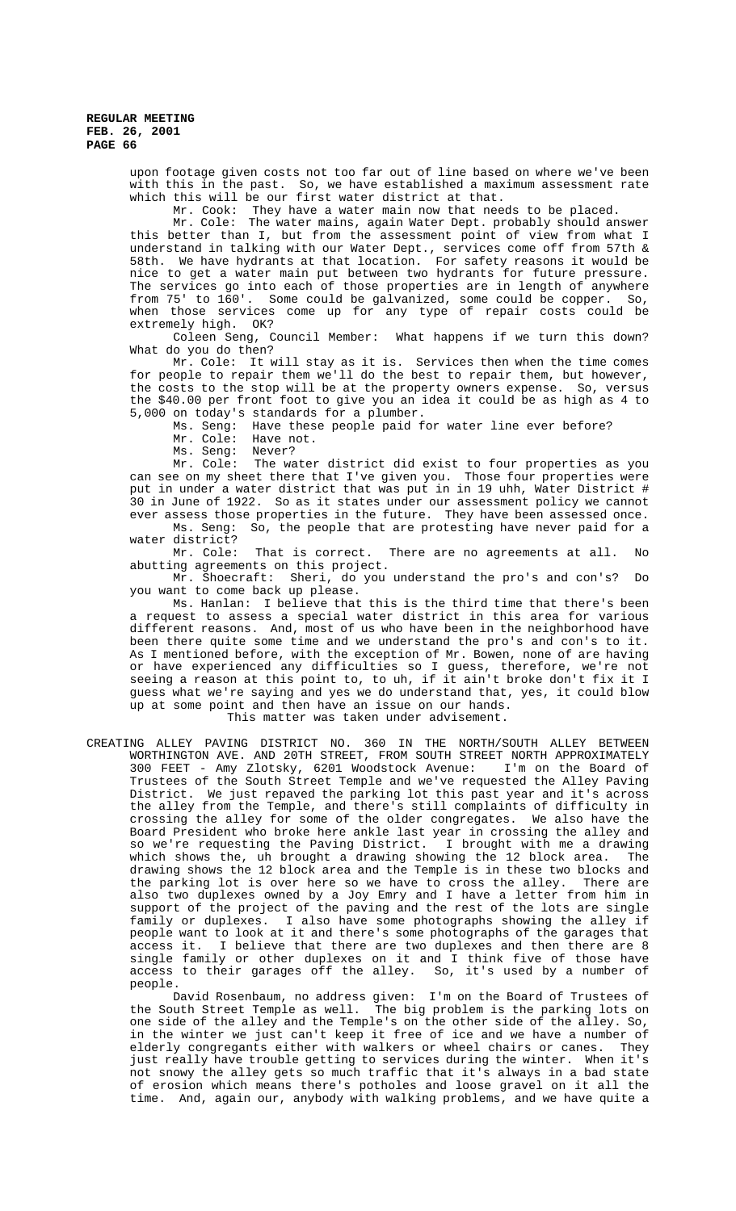upon footage given costs not too far out of line based on where we've been with this in the past. So, we have established a maximum assessment rate which this will be our first water district at that.

Mr. Cook: They have a water main now that needs to be placed.

Mr. Cole: The water mains, again Water Dept. probably should answer this better than I, but from the assessment point of view from what I understand in talking with our Water Dept., services come off from 57th & 58th. We have hydrants at that location. For safety reasons it would be nice to get a water main put between two hydrants for future pressure. The services go into each of those properties are in length of anywhere from 75' to 160'. Some could be galvanized, some could be copper. So, when those services come up for any type of repair costs could be extremely high. OK?

Coleen Seng, Council Member: What happens if we turn this down? What do you do then?

Mr. Cole: It will stay as it is. Services then when the time comes for people to repair them we'll do the best to repair them, but however, the costs to the stop will be at the property owners expense. So, versus the \$40.00 per front foot to give you an idea it could be as high as 4 to 5,000 on today's standards for a plumber.

Ms. Seng: Have these people paid for water line ever before?

Mr. Cole: Have not.

Ms. Seng: Never?

Mr. Cole: The water district did exist to four properties as you can see on my sheet there that I've given you. Those four properties were put in under a water district that was put in in 19 uhh, Water District # 30 in June of 1922. So as it states under our assessment policy we cannot ever assess those properties in the future. They have been assessed once.

Ms. Seng: So, the people that are protesting have never paid for a water district?

Mr. Cole: That is correct. There are no agreements at all. No abutting agreements on this project.

Mr. Shoecraft: Sheri, do you understand the pro's and con's? Do you want to come back up please.

Ms. Hanlan: I believe that this is the third time that there's been a request to assess a special water district in this area for various different reasons. And, most of us who have been in the neighborhood have been there quite some time and we understand the pro's and con's to it. As I mentioned before, with the exception of Mr. Bowen, none of are having or have experienced any difficulties so I guess, therefore, we're not seeing a reason at this point to, to uh, if it ain't broke don't fix it I guess what we're saying and yes we do understand that, yes, it could blow up at some point and then have an issue on our hands.

# This matter was taken under advisement.

CREATING ALLEY PAVING DISTRICT NO. 360 IN THE NORTH/SOUTH ALLEY BETWEEN WORTHINGTON AVE. AND 20TH STREET, FROM SOUTH STREET NORTH APPROXIMATELY 300 FEET - Amy Zlotsky, 6201 Woodstock Avenue: I'm on the Board of Trustees of the South Street Temple and we've requested the Alley Paving District. We just repaved the parking lot this past year and it's across the alley from the Temple, and there's still complaints of difficulty in crossing the alley for some of the older congregates. We also have the Board President who broke here ankle last year in crossing the alley and so we're requesting the Paving District. I brought with me a drawing which shows the, uh brought a drawing showing the 12 block area. The drawing shows the 12 block area and the Temple is in these two blocks and the parking lot is over here so we have to cross the alley. There are also two duplexes owned by a Joy Emry and I have a letter from him in support of the project of the paving and the rest of the lots are single family or duplexes. I also have some photographs showing the alley if people want to look at it and there's some photographs of the garages that access it. I believe that there are two duplexes and then there are 8 single family or other duplexes on it and I think five of those have<br>access to their garages off the alley. So, it's used by a number of access to their garages off the alley. people.

David Rosenbaum, no address given: I'm on the Board of Trustees of the South Street Temple as well. The big problem is the parking lots on one side of the alley and the Temple's on the other side of the alley. So, in the winter we just can't keep it free of ice and we have a number of elderly congregants either with walkers or wheel chairs or canes. They just really have trouble getting to services during the winter. When it's not snowy the alley gets so much traffic that it's always in a bad state of erosion which means there's potholes and loose gravel on it all the time. And, again our, anybody with walking problems, and we have quite a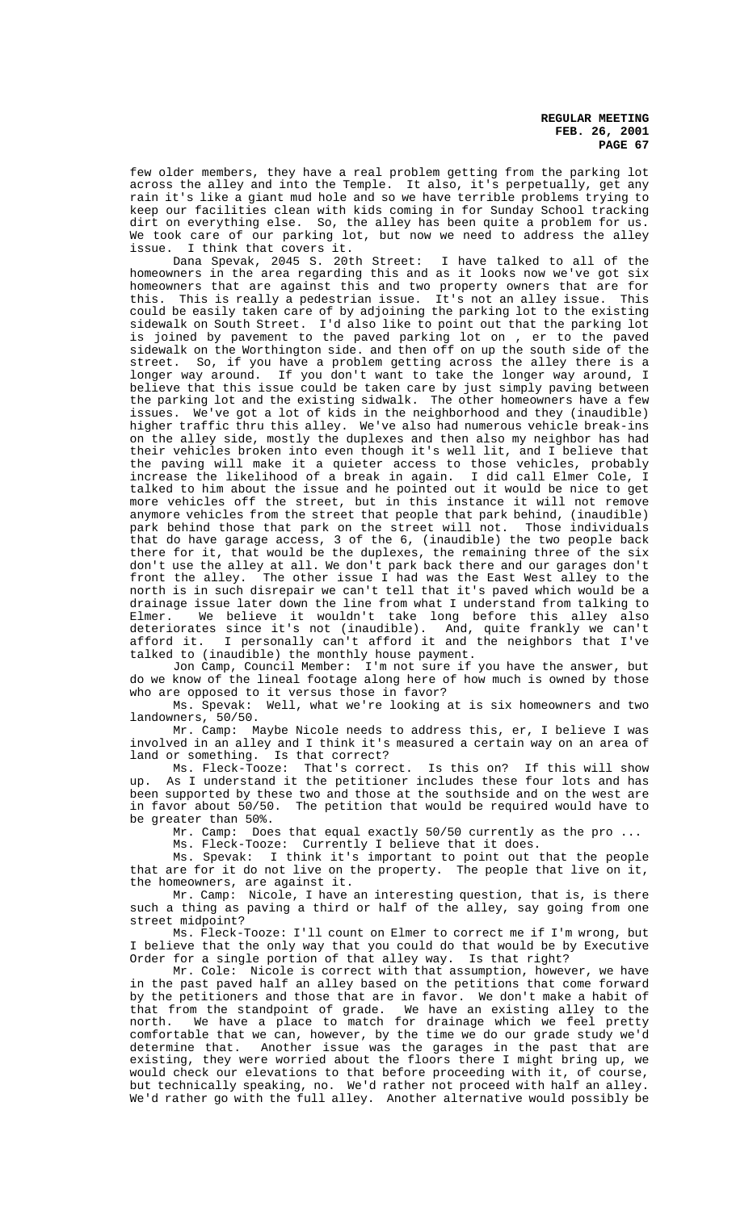few older members, they have a real problem getting from the parking lot across the alley and into the Temple. It also, it's perpetually, get any rain it's like a giant mud hole and so we have terrible problems trying to keep our facilities clean with kids coming in for Sunday School tracking dirt on everything else. So, the alley has been quite a problem for us. We took care of our parking lot, but now we need to address the alley issue. I think that covers it.

Dana Spevak, 2045 S. 20th Street: I have talked to all of the homeowners in the area regarding this and as it looks now we've got six homeowners that are against this and two property owners that are for this. This is really a pedestrian issue. It's not an alley issue. This could be easily taken care of by adjoining the parking lot to the existing sidewalk on South Street. I'd also like to point out that the parking lot is joined by pavement to the paved parking lot on , er to the paved sidewalk on the Worthington side. and then off on up the south side of the street. So, if you have a problem getting across the alley there is a longer way around. If you don't want to take the longer way around, I believe that this issue could be taken care by just simply paving between the parking lot and the existing sidwalk. The other homeowners have a few issues. We've got a lot of kids in the neighborhood and they (inaudible) higher traffic thru this alley. We've also had numerous vehicle break-ins on the alley side, mostly the duplexes and then also my neighbor has had their vehicles broken into even though it's well lit, and I believe that the paving will make it a quieter access to those vehicles, probably increase the likelihood of a break in again. I did call Elmer Cole, I talked to him about the issue and he pointed out it would be nice to get more vehicles off the street, but in this instance it will not remove anymore vehicles from the street that people that park behind, (inaudible) park behind those that park on the street will not. Those individuals that do have garage access, 3 of the 6, (inaudible) the two people back there for it, that would be the duplexes, the remaining three of the six don't use the alley at all. We don't park back there and our garages don't front the alley. The other issue I had was the East West alley to the north is in such disrepair we can't tell that it's paved which would be a drainage issue later down the line from what I understand from talking to Elmer. We believe it wouldn't take long before this alley also deteriorates since it's not (inaudible). And, quite frankly we can't afford it. I personally can't afford it and the neighbors that I've talked to (inaudible) the monthly house payment.

Jon Camp, Council Member: I'm not sure if you have the answer, but do we know of the lineal footage along here of how much is owned by those who are opposed to it versus those in favor?

Ms. Spevak: Well, what we're looking at is six homeowners and two landowners, 50/50.

Mr. Camp: Maybe Nicole needs to address this, er, I believe I was involved in an alley and I think it's measured a certain way on an area of land or something. Is that correct?

Ms. Fleck-Tooze: That's correct. Is this on? If this will show up. As I understand it the petitioner includes these four lots and has been supported by these two and those at the southside and on the west are in favor about 50/50. The petition that would be required would have to be greater than 50%.

Mr. Camp: Does that equal exactly 50/50 currently as the pro ...

Ms. Fleck-Tooze: Currently I believe that it does.

Ms. Spevak: I think it's important to point out that the people that are for it do not live on the property. The people that live on it, the homeowners, are against it.

Mr. Camp: Nicole, I have an interesting question, that is, is there such a thing as paving a third or half of the alley, say going from one street midpoint?

Ms. Fleck-Tooze: I'll count on Elmer to correct me if I'm wrong, but I believe that the only way that you could do that would be by Executive Order for a single portion of that alley way. Is that right?

Mr. Cole: Nicole is correct with that assumption, however, we have in the past paved half an alley based on the petitions that come forward by the petitioners and those that are in favor. We don't make a habit of that from the standpoint of grade. We have an existing alley to the north. We have a place to match for drainage which we feel pretty comfortable that we can, however, by the time we do our grade study we'd determine that. Another issue was the garages in the past that are existing, they were worried about the floors there I might bring up, we would check our elevations to that before proceeding with it, of course, but technically speaking, no. We'd rather not proceed with half an alley. We'd rather go with the full alley. Another alternative would possibly be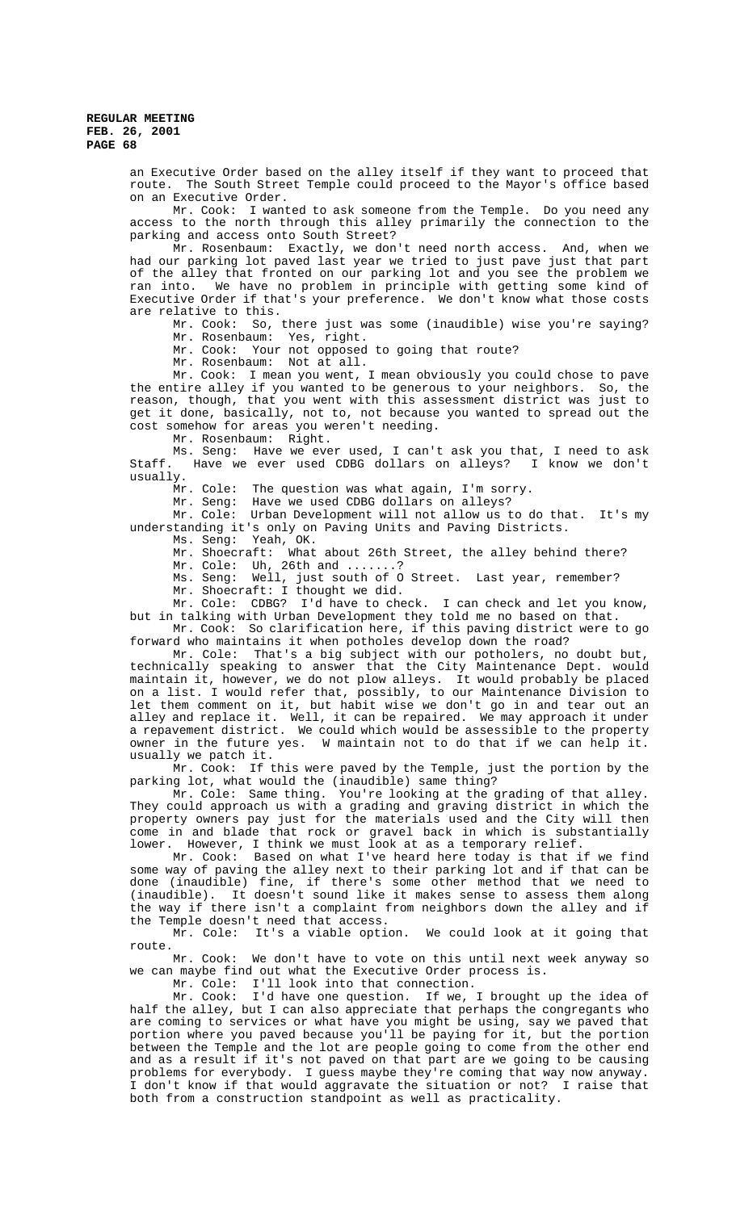an Executive Order based on the alley itself if they want to proceed that route. The South Street Temple could proceed to the Mayor's office based on an Executive Order.

Mr. Cook: I wanted to ask someone from the Temple. Do you need any access to the north through this alley primarily the connection to the parking and access onto South Street?

Mr. Rosenbaum: Exactly, we don't need north access. And, when we had our parking lot paved last year we tried to just pave just that part of the alley that fronted on our parking lot and you see the problem we<br>ran into. We have no problem in principle with getting some kind of We have no problem in principle with getting some kind of Executive Order if that's your preference. We don't know what those costs are relative to this.

Mr. Cook: So, there just was some (inaudible) wise you're saying? Mr. Rosenbaum: Yes, right.

Mr. Cook: Your not opposed to going that route?

Mr. Rosenbaum: Not at all.

Mr. Cook: I mean you went, I mean obviously you could chose to pave the entire alley if you wanted to be generous to your neighbors. So, the reason, though, that you went with this assessment district was just to get it done, basically, not to, not because you wanted to spread out the cost somehow for areas you weren't needing.

Mr. Rosenbaum: Right.

Ms. Seng: Have we ever used, I can't ask you that, I need to ask<br>Staff. Have we ever used CDBG dollars on alleys? I know we don't Have we ever used CDBG dollars on alleys? I know we don't usually.

Mr. Cole: The question was what again, I'm sorry.

Mr. Seng: Have we used CDBG dollars on alleys?

Mr. Cole: Urban Development will not allow us to do that. It's my understanding it's only on Paving Units and Paving Districts.

Ms. Seng: Yeah, OK.

Mr. Shoecraft: What about 26th Street, the alley behind there?

Mr. Cole: Uh, 26th and .......?

Ms. Seng: Well, just south of O Street. Last year, remember?

Mr. Shoecraft: I thought we did.

Mr. Cole: CDBG? I'd have to check. I can check and let you know, but in talking with Urban Development they told me no based on that.

Mr. Cook: So clarification here, if this paving district were to go forward who maintains it when potholes develop down the road?

Mr. Cole: That's a big subject with our potholers, no doubt but, technically speaking to answer that the City Maintenance Dept. would maintain it, however, we do not plow alleys. It would probably be placed on a list. I would refer that, possibly, to our Maintenance Division to let them comment on it, but habit wise we don't go in and tear out an alley and replace it. Well, it can be repaired. We may approach it under a repavement district. We could which would be assessible to the property owner in the future yes. W maintain not to do that if we can help it. usually we patch it.

Mr. Cook: If this were paved by the Temple, just the portion by the parking lot, what would the (inaudible) same thing?

Mr. Cole: Same thing. You're looking at the grading of that alley. They could approach us with a grading and graving district in which the property owners pay just for the materials used and the City will then come in and blade that rock or gravel back in which is substantially lower. However, I think we must look at as a temporary relief.

Mr. Cook: Based on what I've heard here today is that if we find some way of paving the alley next to their parking lot and if that can be done (inaudible) fine, if there's some other method that we need to (inaudible). It doesn't sound like it makes sense to assess them along the way if there isn't a complaint from neighbors down the alley and if the Temple doesn't need that access.

Mr. Cole: It's a viable option. We could look at it going that route.

Mr. Cook: We don't have to vote on this until next week anyway so we can maybe find out what the Executive Order process is.

Mr. Cole:  $I'11$  look into that connection.<br>Mr. Cook:  $I'd$  have one question. If we,

I'd have one question. If we, I brought up the idea of half the alley, but I can also appreciate that perhaps the congregants who are coming to services or what have you might be using, say we paved that portion where you paved because you'll be paying for it, but the portion between the Temple and the lot are people going to come from the other end and as a result if it's not paved on that part are we going to be causing problems for everybody. I guess maybe they're coming that way now anyway. I don't know if that would aggravate the situation or not? I raise that both from a construction standpoint as well as practicality.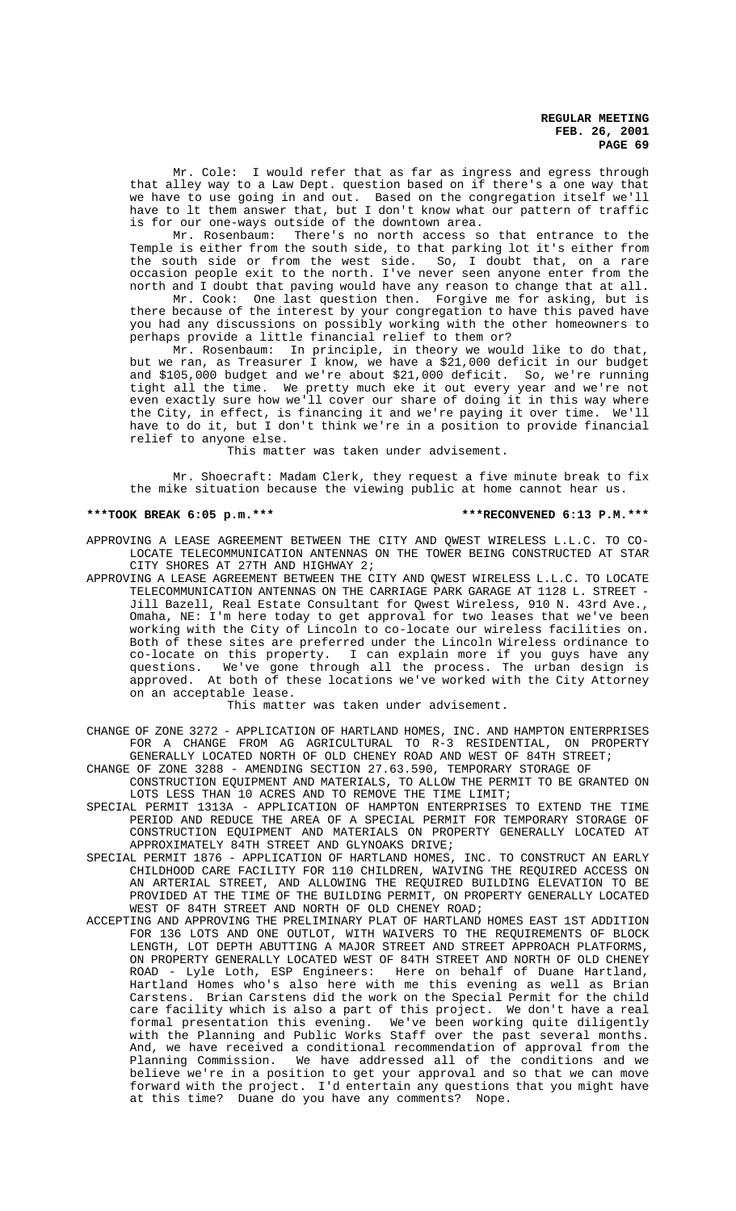Mr. Cole: I would refer that as far as ingress and egress through that alley way to a Law Dept. question based on if there's a one way that we have to use going in and out. Based on the congregation itself we'll have to lt them answer that, but I don't know what our pattern of traffic is for our one-ways outside of the downtown area.

Mr. Rosenbaum: There's no north access so that entrance to the Temple is either from the south side, to that parking lot it's either from the south side or from the west side. So, I doubt that, on a rare occasion people exit to the north. I've never seen anyone enter from the north and I doubt that paving would have any reason to change that at all.

Mr. Cook: One last question then. Forgive me for asking, but is there because of the interest by your congregation to have this paved have you had any discussions on possibly working with the other homeowners to perhaps provide a little financial relief to them or?

Mr. Rosenbaum: In principle, in theory we would like to do that, but we ran, as Treasurer I know, we have a \$21,000 deficit in our budget and \$105,000 budget and we're about \$21,000 deficit. So, we're running tight all the time. We pretty much eke it out every year and we're not even exactly sure how we'll cover our share of doing it in this way where the City, in effect, is financing it and we're paying it over time. We'll have to do it, but I don't think we're in a position to provide financial relief to anyone else.

This matter was taken under advisement.

Mr. Shoecraft: Madam Clerk, they request a five minute break to fix the mike situation because the viewing public at home cannot hear us.

#### **\*\*\*TOOK BREAK 6:05 p.m.\*\*\* \*\*\*RECONVENED 6:13 P.M.\*\*\***

APPROVING A LEASE AGREEMENT BETWEEN THE CITY AND QWEST WIRELESS L.L.C. TO CO-LOCATE TELECOMMUNICATION ANTENNAS ON THE TOWER BEING CONSTRUCTED AT STAR CITY SHORES AT 27TH AND HIGHWAY 2;

APPROVING A LEASE AGREEMENT BETWEEN THE CITY AND QWEST WIRELESS L.L.C. TO LOCATE TELECOMMUNICATION ANTENNAS ON THE CARRIAGE PARK GARAGE AT 1128 L. STREET - Jill Bazell, Real Estate Consultant for Qwest Wireless, 910 N. 43rd Ave., Omaha, NE: I'm here today to get approval for two leases that we've been working with the City of Lincoln to co-locate our wireless facilities on. Both of these sites are preferred under the Lincoln Wireless ordinance to co-locate on this property. I can explain more if you guys have any questions. We've gone through all the process. The urban design is approved. At both of these locations we've worked with the City Attorney on an acceptable lease.

#### This matter was taken under advisement.

CHANGE OF ZONE 3272 - APPLICATION OF HARTLAND HOMES, INC. AND HAMPTON ENTERPRISES FOR A CHANGE FROM AG AGRICULTURAL TO R-3 RESIDENTIAL, ON PROPERTY GENERALLY LOCATED NORTH OF OLD CHENEY ROAD AND WEST OF 84TH STREET;

CHANGE OF ZONE 3288 - AMENDING SECTION 27.63.590, TEMPORARY STORAGE OF

- CONSTRUCTION EQUIPMENT AND MATERIALS, TO ALLOW THE PERMIT TO BE GRANTED ON LOTS LESS THAN 10 ACRES AND TO REMOVE THE TIME LIMIT;
- SPECIAL PERMIT 1313A APPLICATION OF HAMPTON ENTERPRISES TO EXTEND THE TIME PERIOD AND REDUCE THE AREA OF A SPECIAL PERMIT FOR TEMPORARY STORAGE OF CONSTRUCTION EQUIPMENT AND MATERIALS ON PROPERTY GENERALLY LOCATED AT APPROXIMATELY 84TH STREET AND GLYNOAKS DRIVE;
- SPECIAL PERMIT 1876 APPLICATION OF HARTLAND HOMES, INC. TO CONSTRUCT AN EARLY CHILDHOOD CARE FACILITY FOR 110 CHILDREN, WAIVING THE REQUIRED ACCESS ON AN ARTERIAL STREET, AND ALLOWING THE REQUIRED BUILDING ELEVATION TO BE PROVIDED AT THE TIME OF THE BUILDING PERMIT, ON PROPERTY GENERALLY LOCATED WEST OF 84TH STREET AND NORTH OF OLD CHENEY ROAD;
- ACCEPTING AND APPROVING THE PRELIMINARY PLAT OF HARTLAND HOMES EAST 1ST ADDITION FOR 136 LOTS AND ONE OUTLOT, WITH WAIVERS TO THE REQUIREMENTS OF BLOCK LENGTH, LOT DEPTH ABUTTING A MAJOR STREET AND STREET APPROACH PLATFORMS, ON PROPERTY GENERALLY LOCATED WEST OF 84TH STREET AND NORTH OF OLD CHENEY ROAD - Lyle Loth, ESP Engineers: Here on behalf of Duane Hartland, Hartland Homes who's also here with me this evening as well as Brian Brian Carstens did the work on the Special Permit for the child care facility which is also a part of this project. We don't have a real formal presentation this evening. We've been working quite diligently with the Planning and Public Works Staff over the past several months. And, we have received a conditional recommendation of approval from the Planning Commission. We have addressed all of the conditions and we believe we're in a position to get your approval and so that we can move forward with the project. I'd entertain any questions that you might have at this time? Duane do you have any comments? Nope.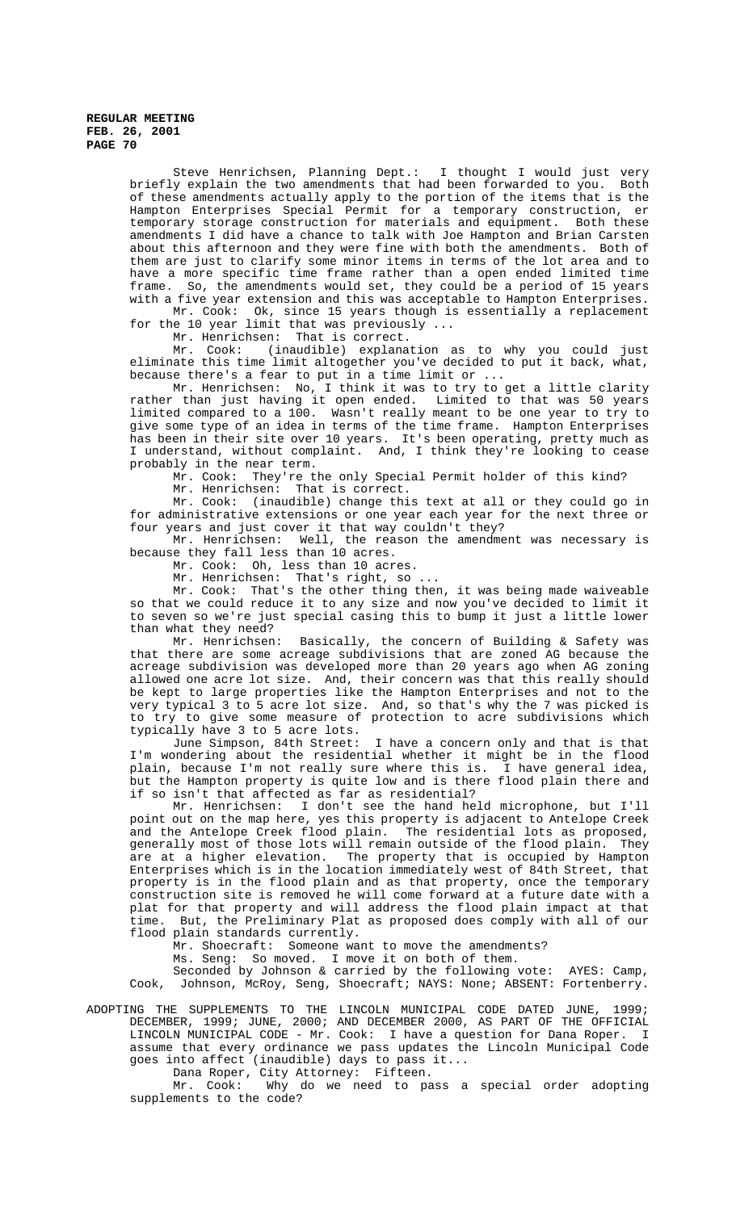Steve Henrichsen, Planning Dept.: I thought I would just very briefly explain the two amendments that had been forwarded to you. Both of these amendments actually apply to the portion of the items that is the Hampton Enterprises Special Permit for a temporary construction, er temporary storage construction for materials and equipment. Both these amendments I did have a chance to talk with Joe Hampton and Brian Carsten about this afternoon and they were fine with both the amendments. Both of them are just to clarify some minor items in terms of the lot area and to have a more specific time frame rather than a open ended limited time frame. So, the amendments would set, they could be a period of 15 years with a five year extension and this was acceptable to Hampton Enterprises.

Mr. Cook: Ok, since 15 years though is essentially a replacement for the 10 year limit that was previously ...

Mr. Henrichsen: That is correct.

Mr. Cook: (inaudible) explanation as to why you could just eliminate this time limit altogether you've decided to put it back, what, because there's a fear to put in a time limit or ...

Mr. Henrichsen: No, I think it was to try to get a little clarity rather than just having it open ended. Limited to that was 50 years limited compared to a 100. Wasn't really meant to be one year to try to give some type of an idea in terms of the time frame. Hampton Enterprises has been in their site over 10 years. It's been operating, pretty much as I understand, without complaint. And, I think they're looking to cease probably in the near term.

Mr. Cook: They're the only Special Permit holder of this kind?

Mr. Henrichsen: That is correct.

Mr. Cook: (inaudible) change this text at all or they could go in for administrative extensions or one year each year for the next three or four years and just cover it that way couldn't they?

Mr. Henrichsen: Well, the reason the amendment was necessary is because they fall less than 10 acres.

Mr. Cook: Oh, less than 10 acres.

Mr. Henrichsen: That's right, so ...

Mr. Cook: That's the other thing then, it was being made waiveable so that we could reduce it to any size and now you've decided to limit it to seven so we're just special casing this to bump it just a little lower than what they need?<br>Mr. Henrichsen:

Basically, the concern of Building & Safety was that there are some acreage subdivisions that are zoned AG because the acreage subdivision was developed more than 20 years ago when AG zoning allowed one acre lot size. And, their concern was that this really should be kept to large properties like the Hampton Enterprises and not to the very typical 3 to 5 acre lot size. And, so that's why the 7 was picked is<br>to try to give some measure of protection to acre subdivisions which to give some measure of protection to acre subdivisions which typically have 3 to 5 acre lots.

June Simpson, 84th Street: I have a concern only and that is that I'm wondering about the residential whether it might be in the flood plain, because I'm not really sure where this is. I have general idea, but the Hampton property is quite low and is there flood plain there and if so isn't that affected as far as residential?

Mr. Henrichsen: I don't see the hand held microphone, but I'll point out on the map here, yes this property is adjacent to Antelope Creek and the Antelope Creek flood plain. The residential lots as proposed, generally most of those lots will remain outside of the flood plain. They are at a higher elevation. The property that is occupied by Hampton Enterprises which is in the location immediately west of 84th Street, that property is in the flood plain and as that property, once the temporary construction site is removed he will come forward at a future date with a plat for that property and will address the flood plain impact at that time. But, the Preliminary Plat as proposed does comply with all of our flood plain standards currently.

Mr. Shoecraft: Someone want to move the amendments?

Ms. Seng: So moved. I move it on both of them.

Seconded by Johnson & carried by the following vote: AYES: Camp, Cook, Johnson, McRoy, Seng, Shoecraft; NAYS: None; ABSENT: Fortenberry.

ADOPTING THE SUPPLEMENTS TO THE LINCOLN MUNICIPAL CODE DATED JUNE, 1999; DECEMBER, 1999; JUNE, 2000; AND DECEMBER 2000, AS PART OF THE OFFICIAL LINCOLN MUNICIPAL CODE - Mr. Cook: I have a question for Dana Roper. I assume that every ordinance we pass updates the Lincoln Municipal Code goes into affect (inaudible) days to pass it...

Dana Roper, City Attorney: Fifteen.

Mr. Cook: Why do we need to pass a special order adopting supplements to the code?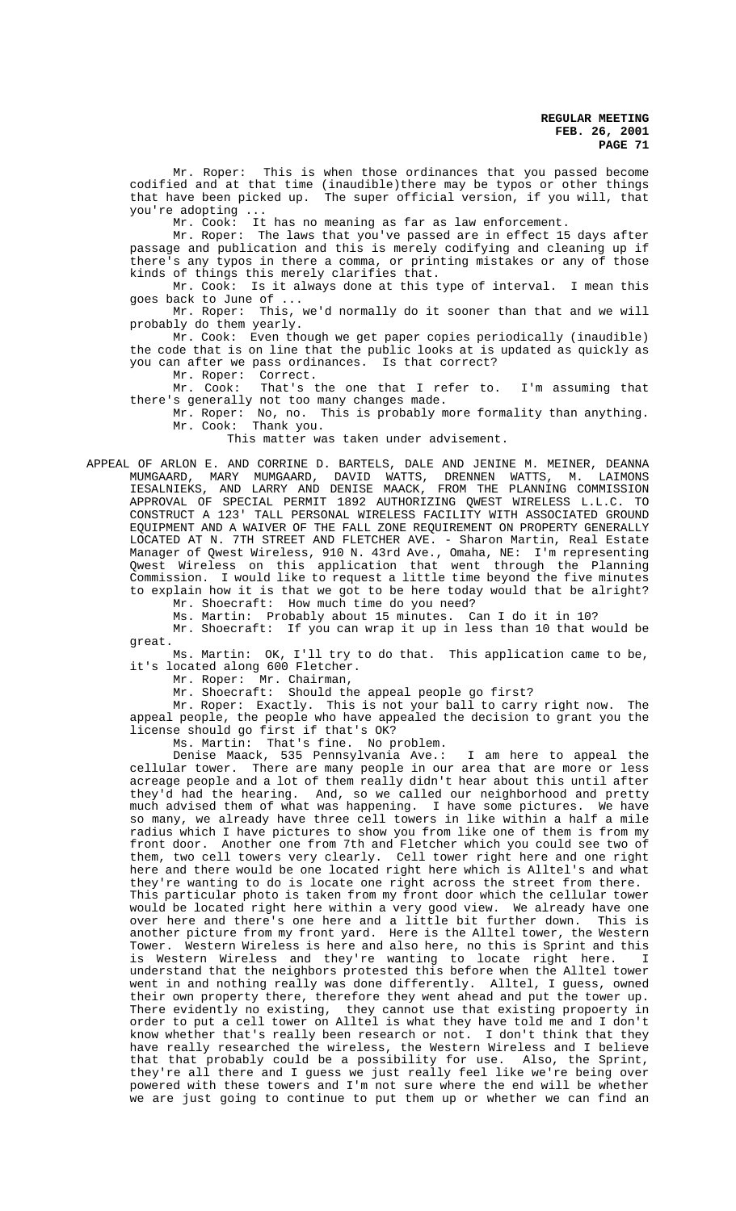Mr. Roper: This is when those ordinances that you passed become codified and at that time (inaudible)there may be typos or other things that have been picked up. The super official version, if you will, that you're adopting ...

Mr. Cook: It has no meaning as far as law enforcement.

Mr. Roper: The laws that you've passed are in effect 15 days after passage and publication and this is merely codifying and cleaning up if there's any typos in there a comma, or printing mistakes or any of those kinds of things this merely clarifies that.

Mr. Cook: Is it always done at this type of interval. I mean this goes back to June of ...

Mr. Roper: This, we'd normally do it sooner than that and we will probably do them yearly.

Mr. Cook: Even though we get paper copies periodically (inaudible) the code that is on line that the public looks at is updated as quickly as you can after we pass ordinances. Is that correct?

Mr. Roper: Correct.<br>Mr. Cook: That's t That's the one that I refer to. I'm assuming that there's generally not too many changes made.

Mr. Roper: No, no. This is probably more formality than anything. Mr. Cook: Thank you.

This matter was taken under advisement.

APPEAL OF ARLON E. AND CORRINE D. BARTELS, DALE AND JENINE M. MEINER, DEANNA MUMGAARD, MARY MUMGAARD, DAVID WATTS, DRENNEN WATTS, M. LAIMONS IESALNIEKS, AND LARRY AND DENISE MAACK, FROM THE PLANNING COMMISSION APPROVAL OF SPECIAL PERMIT 1892 AUTHORIZING QWEST WIRELESS L.L.C. TO CONSTRUCT A 123' TALL PERSONAL WIRELESS FACILITY WITH ASSOCIATED GROUND EQUIPMENT AND A WAIVER OF THE FALL ZONE REQUIREMENT ON PROPERTY GENERALLY LOCATED AT N. 7TH STREET AND FLETCHER AVE. - Sharon Martin, Real Estate Manager of Qwest Wireless, 910 N. 43rd Ave., Omaha, NE: I'm representing Qwest Wireless on this application that went through the Planning Commission. I would like to request a little time beyond the five minutes to explain how it is that we got to be here today would that be alright?

Mr. Shoecraft: How much time do you need?

Ms. Martin: Probably about 15 minutes. Can I do it in 10?

Mr. Shoecraft: If you can wrap it up in less than 10 that would be great.

Ms. Martin: OK, I'll try to do that. This application came to be, it's located along 600 Fletcher.

Mr. Roper: Mr. Chairman,

Mr. Shoecraft: Should the appeal people go first?

Mr. Roper: Exactly. This is not your ball to carry right now. The appeal people, the people who have appealed the decision to grant you the license should go first if that's OK?

Ms. Martin: That's fine. No problem.

Denise Maack, 535 Pennsylvania Ave.: I am here to appeal the cellular tower. There are many people in our area that are more or less acreage people and a lot of them really didn't hear about this until after they'd had the hearing. And, so we called our neighborhood and pretty much advised them of what was happening. I have some pictures. We have so many, we already have three cell towers in like within a half a mile radius which I have pictures to show you from like one of them is from my front door. Another one from 7th and Fletcher which you could see two of them, two cell towers very clearly. Cell tower right here and one right here and there would be one located right here which is Alltel's and what they're wanting to do is locate one right across the street from there. This particular photo is taken from my front door which the cellular tower would be located right here within a very good view. We already have one<br>over here and there's one here and a little bit further down. This is over here and there's one here and a little bit further down. another picture from my front yard. Here is the Alltel tower, the Western Tower. Western Wireless is here and also here, no this is Sprint and this is Western Wireless and they're wanting to locate right here. I understand that the neighbors protested this before when the Alltel tower went in and nothing really was done differently. Alltel, I guess, owned their own property there, therefore they went ahead and put the tower up. There evidently no existing, they cannot use that existing propoerty in order to put a cell tower on Alltel is what they have told me and I don't know whether that's really been research or not. I don't think that they have really researched the wireless, the Western Wireless and I believe that that probably could be a possibility for use. Also, the Sprint, they're all there and I guess we just really feel like we're being over powered with these towers and I'm not sure where the end will be whether we are just going to continue to put them up or whether we can find an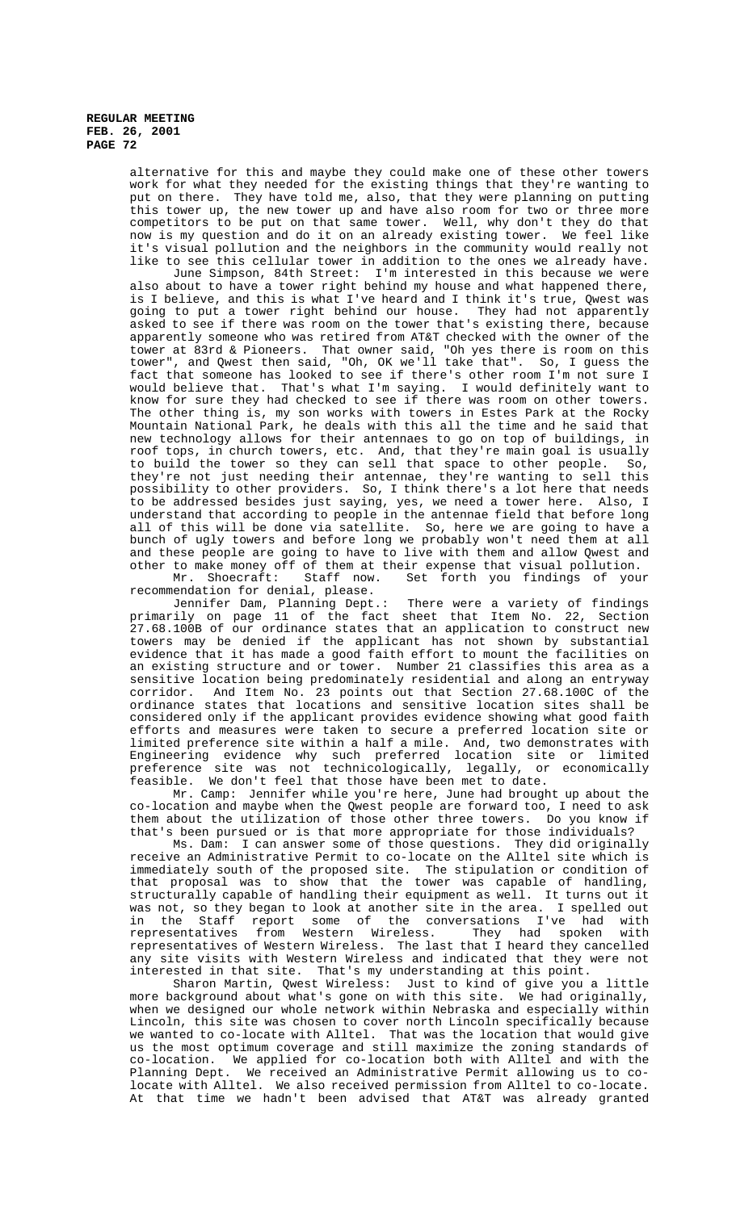> alternative for this and maybe they could make one of these other towers work for what they needed for the existing things that they're wanting to put on there. They have told me, also, that they were planning on putting this tower up, the new tower up and have also room for two or three more competitors to be put on that same tower. Well, why don't they do that now is my question and do it on an already existing tower. We feel like it's visual pollution and the neighbors in the community would really not like to see this cellular tower in addition to the ones we already have.

> June Simpson, 84th Street: I'm interested in this because we were also about to have a tower right behind my house and what happened there, is I believe, and this is what I've heard and I think it's true, Qwest was going to put a tower right behind our house. They had not apparently asked to see if there was room on the tower that's existing there, because apparently someone who was retired from AT&T checked with the owner of the tower at 83rd & Pioneers. That owner said, "Oh yes there is room on this tower", and Qwest then said, "Oh, OK we'll take that". So, I guess the fact that someone has looked to see if there's other room I'm not sure I would believe that. That's what I'm saying. I would definitely want to know for sure they had checked to see if there was room on other towers. The other thing is, my son works with towers in Estes Park at the Rocky Mountain National Park, he deals with this all the time and he said that new technology allows for their antennaes to go on top of buildings, in roof tops, in church towers, etc. And, that they're main goal is usually to build the tower so they can sell that space to other people. So, they're not just needing their antennae, they're wanting to sell this possibility to other providers. So, I think there's a lot here that needs .<br>to be addressed besides just saying, yes, we need a tower here. Also, I understand that according to people in the antennae field that before long all of this will be done via satellite. So, here we are going to have a bunch of ugly towers and before long we probably won't need them at all and these people are going to have to live with them and allow Qwest and other to make money off of them at their expense that visual pollution.

Mr. Shoecraft: Staff now. Set forth you findings of your recommendation for denial, please.

Jennifer Dam, Planning Dept.: There were a variety of findings primarily on page 11 of the fact sheet that Item No. 22, Section 27.68.100B of our ordinance states that an application to construct new towers may be denied if the applicant has not shown by substantial evidence that it has made a good faith effort to mount the facilities on an existing structure and or tower. Number 21 classifies this area as a sensitive location being predominately residential and along an entryway corridor. And Item No. 23 points out that Section 27.68.100C of the ordinance states that locations and sensitive location sites shall be considered only if the applicant provides evidence showing what good faith efforts and measures were taken to secure a preferred location site or limited preference site within a half a mile. And, two demonstrates with Engineering evidence why such preferred location site or limited preference site was not technicologically, legally, or economically feasible. We don't feel that those have been met to date.

Mr. Camp: Jennifer while you're here, June had brought up about the co-location and maybe when the Qwest people are forward too, I need to ask them about the utilization of those other three towers. Do you know if that's been pursued or is that more appropriate for those individuals?

Ms. Dam: I can answer some of those questions. They did originally receive an Administrative Permit to co-locate on the Alltel site which is immediately south of the proposed site. The stipulation or condition of that proposal was to show that the tower was capable of handling, structurally capable of handling their equipment as well. It turns out it was not, so they began to look at another site in the area. I spelled out<br>in the Staff report some of the conversations I've had with<br>representatives from Western Wireless. They had spoken with in the Some of the Conversations I've had with<br>some of the conversations I've had with representatives from Western Wireless. They had spoken with representatives of Western Wireless. The last that I heard they cancelled any site visits with Western Wireless and indicated that they were not interested in that site. That's my understanding at this point.

Sharon Martin, Qwest Wireless: Just to kind of give you a little more background about what's gone on with this site. We had originally, when we designed our whole network within Nebraska and especially within Lincoln, this site was chosen to cover north Lincoln specifically because we wanted to co-locate with Alltel. That was the location that would give us the most optimum coverage and still maximize the zoning standards of co-location. We applied for co-location both with Alltel and with the Planning Dept. We received an Administrative Permit allowing us to colocate with Alltel. We also received permission from Alltel to co-locate. At that time we hadn't been advised that AT&T was already granted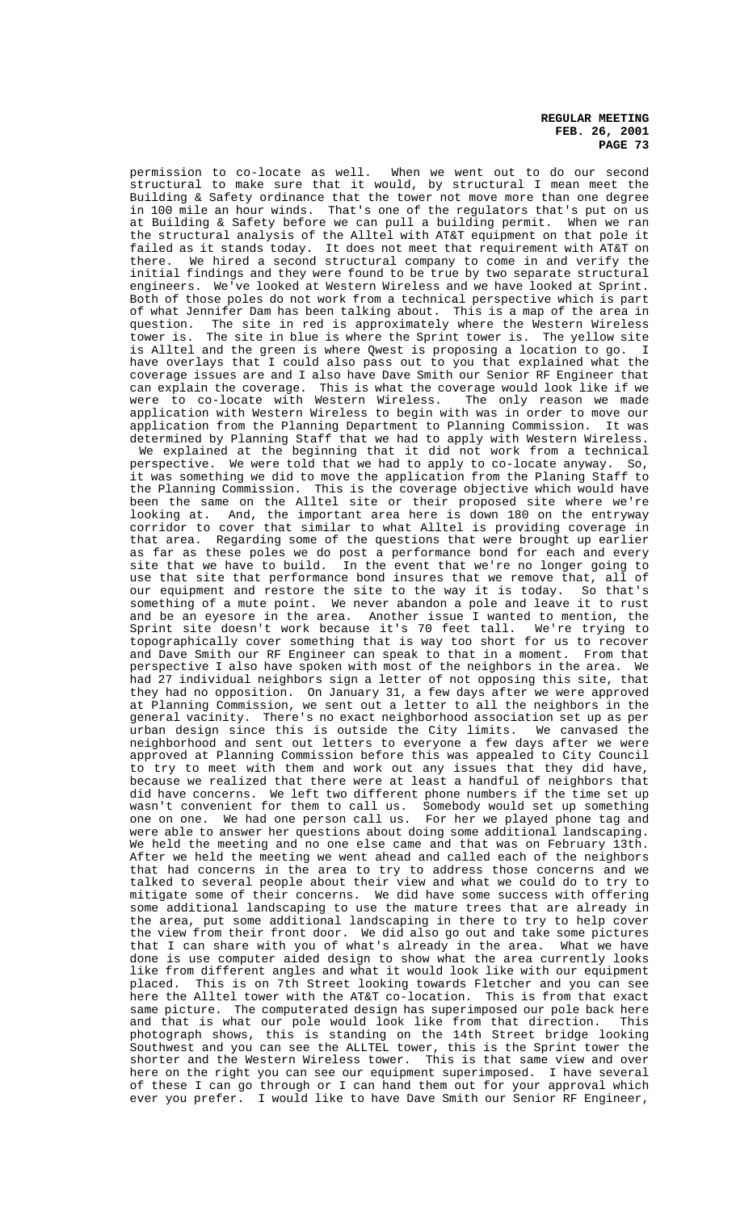permission to co-locate as well. When we went out to do our second structural to make sure that it would, by structural I mean meet the Building & Safety ordinance that the tower not move more than one degree in 100 mile an hour winds. That's one of the regulators that's put on us at Building & Safety before we can pull a building permit. When we ran the structural analysis of the Alltel with AT&T equipment on that pole it failed as it stands today. It does not meet that requirement with AT&T on there. We hired a second structural company to come in and verify the initial findings and they were found to be true by two separate structural engineers. We've looked at Western Wireless and we have looked at Sprint. Both of those poles do not work from a technical perspective which is part of what Jennifer Dam has been talking about. This is a map of the area in question. The site in red is approximately where the Western Wireless question. The site in red is approximately where the Western Wireless tower is. The site in blue is where the Sprint tower is. The yellow site is Alltel and the green is where Qwest is proposing a location to go. have overlays that I could also pass out to you that explained what the coverage issues are and I also have Dave Smith our Senior RF Engineer that can explain the coverage. This is what the coverage would look like if we were to co-locate with Western Wireless. The only reason we made application with Western Wireless to begin with was in order to move our application from the Planning Department to Planning Commission. It was determined by Planning Staff that we had to apply with Western Wireless. We explained at the beginning that it did not work from a technical

perspective. We were told that we had to apply to co-locate anyway. So, it was something we did to move the application from the Planing Staff to the Planning Commission. This is the coverage objective which would have been the same on the Alltel site or their proposed site where we're looking at. And, the important area here is down 180 on the entryway corridor to cover that similar to what Alltel is providing coverage in that area. Regarding some of the questions that were brought up earlier as far as these poles we do post a performance bond for each and every site that we have to build. In the event that we're no longer going to use that site that performance bond insures that we remove that, all of our equipment and restore the site to the way it is today. So that's something of a mute point. We never abandon a pole and leave it to rust and be an eyesore in the area. Another issue I wanted to mention, the Sprint site doesn't work because it's 70 feet tall. We're trying to Sprint site doesn't work because it's 70 feet tall. topographically cover something that is way too short for us to recover and Dave Smith our RF Engineer can speak to that in a moment. From that perspective I also have spoken with most of the neighbors in the area. We had 27 individual neighbors sign a letter of not opposing this site, that they had no opposition. On January 31, a few days after we were approved at Planning Commission, we sent out a letter to all the neighbors in the general vacinity. There's no exact neighborhood association set up as per urban design since this is outside the City limits. We canvased the neighborhood and sent out letters to everyone a few days after we were approved at Planning Commission before this was appealed to City Council to try to meet with them and work out any issues that they did have, because we realized that there were at least a handful of neighbors that did have concerns. We left two different phone numbers if the time set up wasn't convenient for them to call us. Somebody would set up something one on one. We had one person call us. For her we played phone tag and were able to answer her questions about doing some additional landscaping. We held the meeting and no one else came and that was on February 13th. After we held the meeting we went ahead and called each of the neighbors that had concerns in the area to try to address those concerns and we talked to several people about their view and what we could do to try to mitigate some of their concerns. We did have some success with offering some additional landscaping to use the mature trees that are already in the area, put some additional landscaping in there to try to help cover the view from their front door. We did also go out and take some pictures that I can share with you of what's already in the area. What we have done is use computer aided design to show what the area currently looks like from different angles and what it would look like with our equipment placed. This is on 7th Street looking towards Fletcher and you can see here the Alltel tower with the AT&T co-location. This is from that exact same picture. The computerated design has superimposed our pole back here and that is what our pole would look like from that direction. This photograph shows, this is standing on the 14th Street bridge looking Southwest and you can see the ALLTEL tower, this is the Sprint tower the shorter and the Western Wireless tower. This is that same view and over here on the right you can see our equipment superimposed. I have several of these I can go through or I can hand them out for your approval which ever you prefer. I would like to have Dave Smith our Senior RF Engineer,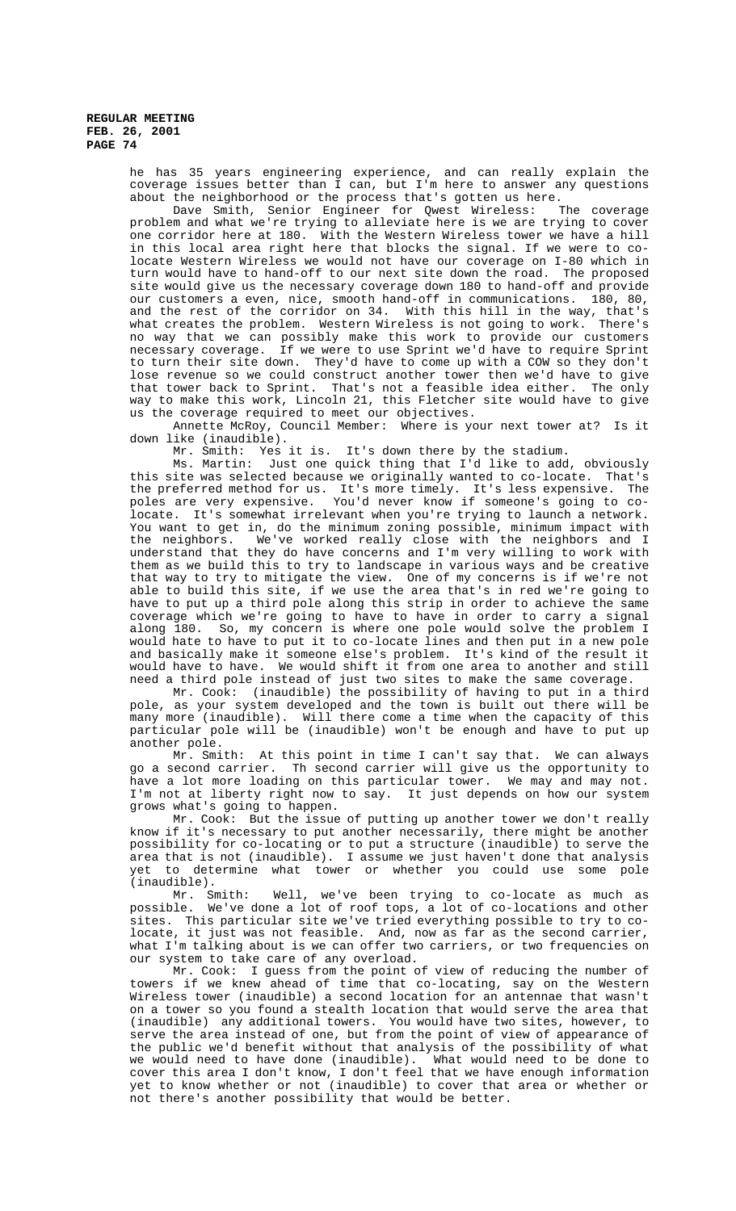> he has 35 years engineering experience, and can really explain the coverage issues better than I can, but I'm here to answer any questions about the neighborhood or the process that's gotten us here.<br>Dave Smith, Senior Engineer for Qwest Wireless: The coverage

> Dave Smith, Senior Engineer for Qwest Wireless: problem and what we're trying to alleviate here is we are trying to cover one corridor here at 180. With the Western Wireless tower we have a hill in this local area right here that blocks the signal. If we were to colocate Western Wireless we would not have our coverage on I-80 which in turn would have to hand-off to our next site down the road. The proposed site would give us the necessary coverage down 180 to hand-off and provide our customers a even, nice, smooth hand-off in communications. 180, 80, and the rest of the corridor on 34. With this hill in the way, that's what creates the problem. Western Wireless is not going to work. There's no way that we can possibly make this work to provide our customers necessary coverage. If we were to use Sprint we'd have to require Sprint to turn their site down. They'd have to come up with a COW so they don't lose revenue so we could construct another tower then we'd have to give that tower back to Sprint. That's not a feasible idea either. The only way to make this work, Lincoln 21, this Fletcher site would have to give us the coverage required to meet our objectives.

> Annette McRoy, Council Member: Where is your next tower at? Is it down like (inaudible).

Mr. Smith: Yes it is. It's down there by the stadium.

Ms. Martin: Just one quick thing that I'd like to add, obviously this site was selected because we originally wanted to co-locate. That's the preferred method for us. It's more timely. It's less expensive. The poles are very expensive. You'd never know if someone's going to colocate. It's somewhat irrelevant when you're trying to launch a network. You want to get in, do the minimum zoning possible, minimum impact with the neighbors. We've worked really close with the neighbors and I understand that they do have concerns and I'm very willing to work with them as we build this to try to landscape in various ways and be creative that way to try to mitigate the view. One of my concerns is if we're not able to build this site, if we use the area that's in red we're going to have to put up a third pole along this strip in order to achieve the same coverage which we're going to have to have in order to carry a signal along 180. So, my concern is where one pole would solve the problem I would hate to have to put it to co-locate lines and then put in a new pole and basically make it someone else's problem. It's kind of the result it would have to have. We would shift it from one area to another and still need a third pole instead of just two sites to make the same coverage.

Mr. Cook: (inaudible) the possibility of having to put in a third pole, as your system developed and the town is built out there will be many more (inaudible). Will there come a time when the capacity of this particular pole will be (inaudible) won't be enough and have to put up another pole.

Mr. Smith: At this point in time I can't say that. We can always go a second carrier. Th second carrier will give us the opportunity to have a lot more loading on this particular tower. We may and may not. I'm not at liberty right now to say. It just depends on how our system grows what's going to happen.

Mr. Cook: But the issue of putting up another tower we don't really know if it's necessary to put another necessarily, there might be another possibility for co-locating or to put a structure (inaudible) to serve the area that is not (inaudible). I assume we just haven't done that analysis yet to determine what tower or whether you could use some pole (inaudible).

Mr. Smith: Well, we've been trying to co-locate as much as possible. We've done a lot of roof tops, a lot of co-locations and other sites. This particular site we've tried everything possible to try to colocate, it just was not feasible. And, now as far as the second carrier, what I'm talking about is we can offer two carriers, or two frequencies on our system to take care of any overload.

Mr. Cook: I guess from the point of view of reducing the number of towers if we knew ahead of time that co-locating, say on the Western Wireless tower (inaudible) a second location for an antennae that wasn't on a tower so you found a stealth location that would serve the area that (inaudible) any additional towers. You would have two sites, however, to serve the area instead of one, but from the point of view of appearance of the public we'd benefit without that analysis of the possibility of what we would need to have done (inaudible). What would need to be done to cover this area I don't know, I don't feel that we have enough information yet to know whether or not (inaudible) to cover that area or whether or not there's another possibility that would be better.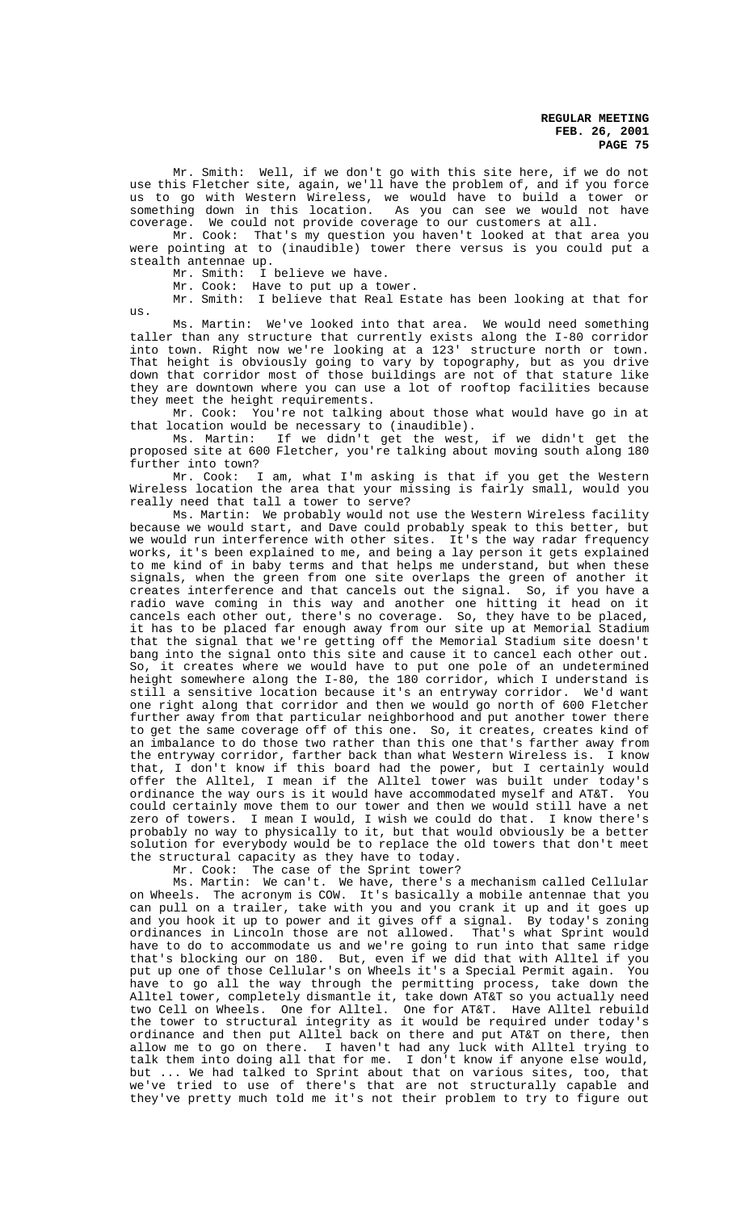Mr. Smith: Well, if we don't go with this site here, if we do not use this Fletcher site, again, we'll have the problem of, and if you force us to go with Western Wireless, we would have to build a tower or something down in this location. As you can see we would not have coverage. We could not provide coverage to our customers at all.

Mr. Cook: That's my question you haven't looked at that area you were pointing at to (inaudible) tower there versus is you could put a stealth antennae up.

Mr. Smith: I believe we have.

Mr. Cook: Have to put up a tower.

Mr. Smith: I believe that Real Estate has been looking at that for us.

Ms. Martin: We've looked into that area. We would need something taller than any structure that currently exists along the I-80 corridor into town. Right now we're looking at a 123' structure north or town. That height is obviously going to vary by topography, but as you drive down that corridor most of those buildings are not of that stature like they are downtown where you can use a lot of rooftop facilities because they meet the height requirements.

Mr. Cook: You're not talking about those what would have go in at that location would be necessary to (inaudible).

Ms. Martin: If we didn't get the west, if we didn't get the proposed site at 600 Fletcher, you're talking about moving south along 180 further into town?

Mr. Cook: I am, what I'm asking is that if you get the Western Wireless location the area that your missing is fairly small, would you really need that tall a tower to serve?

Ms. Martin: We probably would not use the Western Wireless facility because we would start, and Dave could probably speak to this better, but we would run interference with other sites. It's the way radar frequency works, it's been explained to me, and being a lay person it gets explained to me kind of in baby terms and that helps me understand, but when these signals, when the green from one site overlaps the green of another it creates interference and that cancels out the signal. So, if you have a radio wave coming in this way and another one hitting it head on it cancels each other out, there's no coverage. So, they have to be placed, it has to be placed far enough away from our site up at Memorial Stadium that the signal that we're getting off the Memorial Stadium site doesn't bang into the signal onto this site and cause it to cancel each other out. So, it creates where we would have to put one pole of an undetermined height somewhere along the I-80, the 180 corridor, which I understand is still a sensitive location because it's an entryway corridor. We'd want one right along that corridor and then we would go north of 600 Fletcher further away from that particular neighborhood and put another tower there to get the same coverage off of this one. So, it creates, creates kind of an imbalance to do those two rather than this one that's farther away from the entryway corridor, farther back than what Western Wireless is. I know that, I don't know if this board had the power, but I certainly would offer the Alltel, I mean if the Alltel tower was built under today's ordinance the way ours is it would have accommodated myself and AT&T. You could certainly move them to our tower and then we would still have a net zero of towers. I mean I would, I wish we could do that. I know there's probably no way to physically to it, but that would obviously be a better solution for everybody would be to replace the old towers that don't meet the structural capacity as they have to today.

Mr. Cook: The case of the Sprint tower?

Ms. Martin: We can't. We have, there's a mechanism called Cellular on Wheels. The acronym is COW. It's basically a mobile antennae that you can pull on a trailer, take with you and you crank it up and it goes up and you hook it up to power and it gives off a signal. By today's zoning ordinances in Lincoln those are not allowed. That's what Sprint would have to do to accommodate us and we're going to run into that same ridge that's blocking our on 180. But, even if we did that with Alltel if you put up one of those Cellular's on Wheels it's a Special Permit again. You have to go all the way through the permitting process, take down the Alltel tower, completely dismantle it, take down AT&T so you actually need two Cell on Wheels. One for Alltel. One for AT&T. Have Alltel rebuild the tower to structural integrity as it would be required under today's ordinance and then put Alltel back on there and put AT&T on there, then allow me to go on there. I haven't had any luck with Alltel trying to talk them into doing all that for me. I don't know if anyone else would, but ... We had talked to Sprint about that on various sites, too, that we've tried to use of there's that are not structurally capable and they've pretty much told me it's not their problem to try to figure out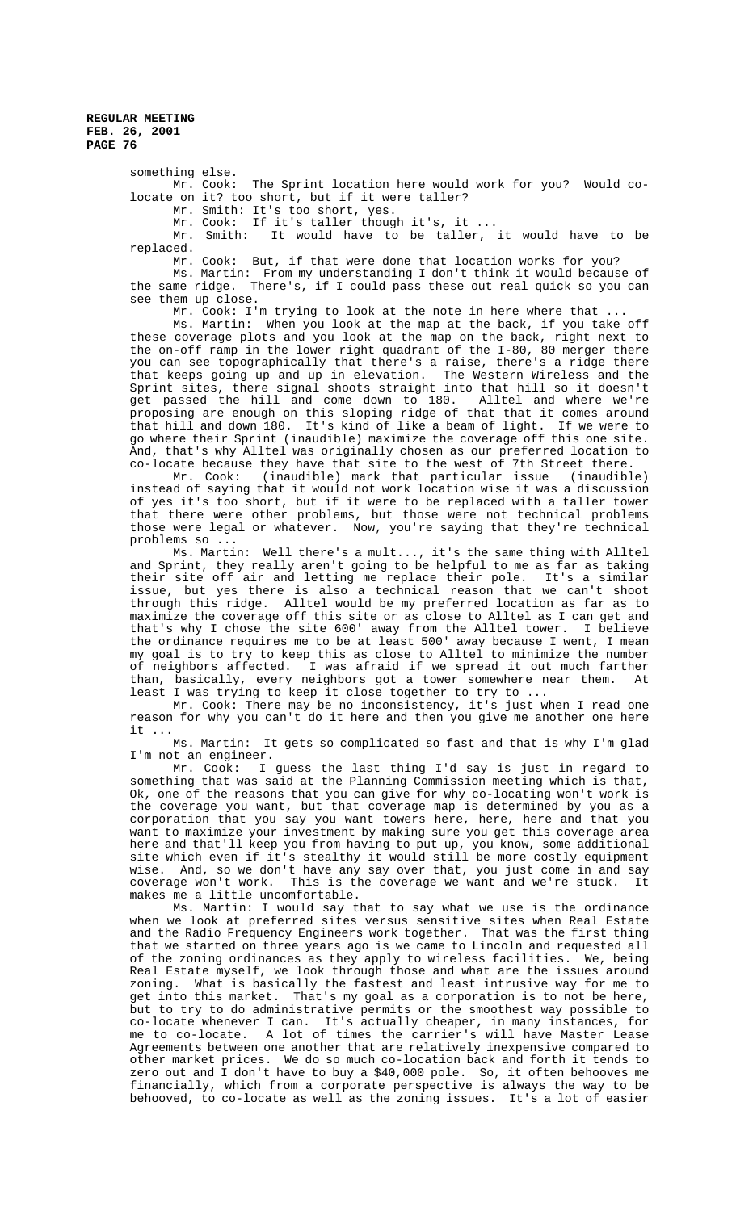> something else. Mr. Cook: The Sprint location here would work for you? Would colocate on it? too short, but if it were taller?

Mr. Smith: It's too short, yes.

Mr. Cook: If it's taller though it's, it ...

Mr. Smith: It would have to be taller, it would have to be replaced.

Mr. Cook: But, if that were done that location works for you?

Ms. Martin: From my understanding I don't think it would because of the same ridge. There's, if I could pass these out real quick so you can see them up close.

Mr. Cook: I'm trying to look at the note in here where that

Ms. Martin: When you look at the map at the back, if you take off these coverage plots and you look at the map on the back, right next to the on-off ramp in the lower right quadrant of the I-80, 80 merger there you can see topographically that there's a raise, there's a ridge there that keeps going up and up in elevation. The Western Wireless and the Sprint sites, there signal shoots straight into that hill so it doesn't get passed the hill and come down to 180. Alltel and where we're proposing are enough on this sloping ridge of that that it comes around that hill and down 180. It's kind of like a beam of light. If we were to go where their Sprint (inaudible) maximize the coverage off this one site. And, that's why Alltel was originally chosen as our preferred location to co-locate because they have that site to the west of 7th Street there.

Mr. Cook: (inaudible) mark that particular issue (inaudible) instead of saying that it would not work location wise it was a discussion of yes it's too short, but if it were to be replaced with a taller tower that there were other problems, but those were not technical problems those were legal or whatever. Now, you're saying that they're technical problems so ...

Ms. Martin: Well there's a mult..., it's the same thing with Alltel and Sprint, they really aren't going to be helpful to me as far as taking their site off air and letting me replace their pole. It's a similar issue, but yes there is also a technical reason that we can't shoot through this ridge. Alltel would be my preferred location as far as to maximize the coverage off this site or as close to Alltel as I can get and that's why I chose the site 600' away from the Alltel tower. I believe the ordinance requires me to be at least 500' away because I went, I mean my goal is to try to keep this as close to Alltel to minimize the number of neighbors affected. I was afraid if we spread it out much farther than, basically, every neighbors got a tower somewhere near them. At least I was trying to keep it close together to try to .

Mr. Cook: There may be no inconsistency, it's just when I read one reason for why you can't do it here and then you give me another one here it ...

Ms. Martin: It gets so complicated so fast and that is why I'm glad I'm not an engineer.

Mr. Cook: I guess the last thing I'd say is just in regard to something that was said at the Planning Commission meeting which is that, Ok, one of the reasons that you can give for why co-locating won't work is the coverage you want, but that coverage map is determined by you as a corporation that you say you want towers here, here, here and that you want to maximize your investment by making sure you get this coverage area here and that'll keep you from having to put up, you know, some additional site which even if it's stealthy it would still be more costly equipment wise. And, so we don't have any say over that, you just come in and say coverage won't work. This is the coverage we want and we're stuck. It makes me a little uncomfortable.

Ms. Martin: I would say that to say what we use is the ordinance when we look at preferred sites versus sensitive sites when Real Estate and the Radio Frequency Engineers work together. That was the first thing that we started on three years ago is we came to Lincoln and requested all of the zoning ordinances as they apply to wireless facilities. We, being Real Estate myself, we look through those and what are the issues around zoning. What is basically the fastest and least intrusive way for me to get into this market. That's my goal as a corporation is to not be here, but to try to do administrative permits or the smoothest way possible to co-locate whenever I can. It's actually cheaper, in many instances, for me to co-locate. A lot of times the carrier's will have Master Lease Agreements between one another that are relatively inexpensive compared to other market prices. We do so much co-location back and forth it tends to zero out and I don't have to buy a \$40,000 pole. So, it often behooves me financially, which from a corporate perspective is always the way to be behooved, to co-locate as well as the zoning issues. It's a lot of easier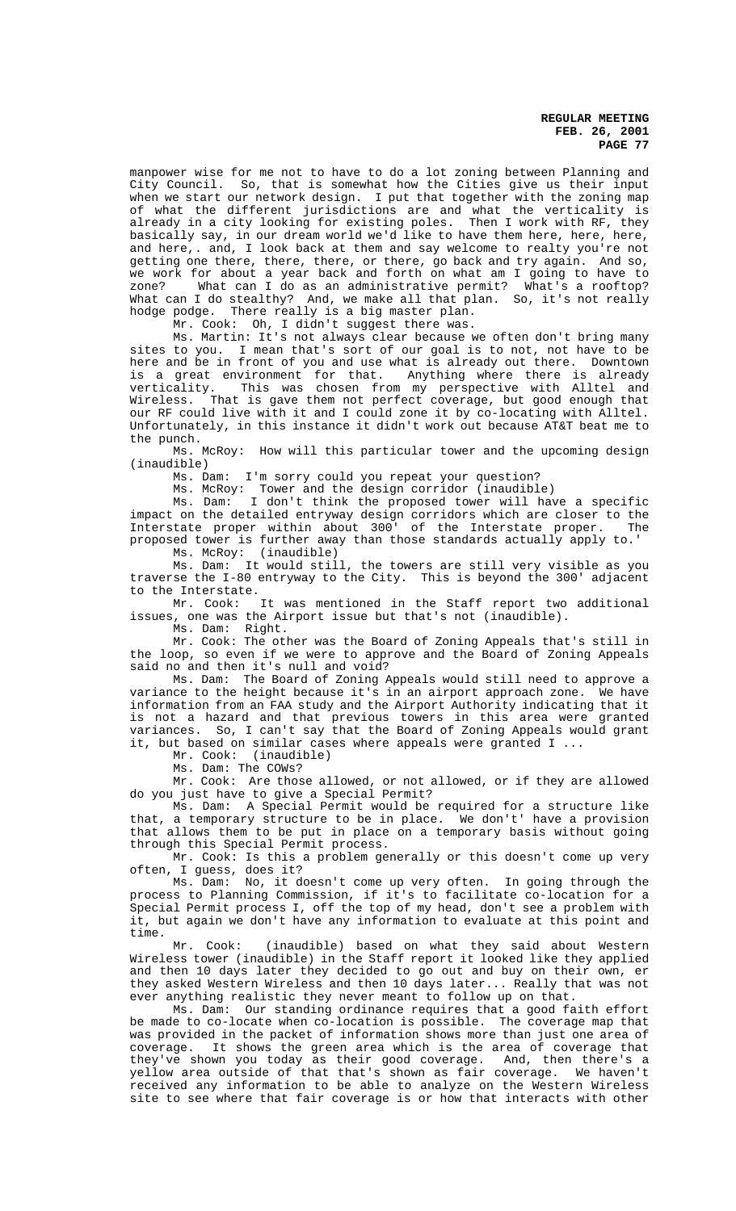manpower wise for me not to have to do a lot zoning between Planning and City Council. So, that is somewhat how the Cities give us their input when we start our network design. I put that together with the zoning map of what the different jurisdictions are and what the verticality is already in a city looking for existing poles. Then I work with RF, they basically say, in our dream world we'd like to have them here, here, here, and here,. and, I look back at them and say welcome to realty you're not getting one there, there, there, or there, go back and try again. And so, we work for about a year back and forth on what am I going to have to zone? What can I do as an administrative permit? What's a rooftop? What can I do stealthy? And, we make all that plan. So, it's not really hodge podge. There really is a big master plan.

Mr. Cook: Oh, I didn't suggest there was.

Ms. Martin: It's not always clear because we often don't bring many sites to you. I mean that's sort of our goal is to not, not have to be here and be in front of you and use what is already out there. Downtown is a great environment for that. Anything where there is already verticality. This was chosen from my perspective with Alltel and Wireless. That is gave them not perfect coverage, but good enough that our RF could live with it and I could zone it by co-locating with Alltel. Unfortunately, in this instance it didn't work out because AT&T beat me to the punch.

Ms. McRoy: How will this particular tower and the upcoming design (inaudible)

Ms. Dam: I'm sorry could you repeat your question?

Ms. McRoy: Tower and the design corridor (inaudible)

Ms. Dam: I don't think the proposed tower will have a specific impact on the detailed entryway design corridors which are closer to the Interstate proper within about 300' of the Interstate proper. The proposed tower is further away than those standards actually apply to.'

Ms. McRoy: (inaudible)

Ms. Dam: It would still, the towers are still very visible as you traverse the I-80 entryway to the City. This is beyond the 300' adjacent to the Interstate.

Mr. Cook: It was mentioned in the Staff report two additional issues, one was the Airport issue but that's not (inaudible).

Ms. Dam: Right.

Mr. Cook: The other was the Board of Zoning Appeals that's still in the loop, so even if we were to approve and the Board of Zoning Appeals said no and then it's null and void?

Ms. Dam: The Board of Zoning Appeals would still need to approve a variance to the height because it's in an airport approach zone. We have information from an FAA study and the Airport Authority indicating that it is not a hazard and that previous towers in this area were granted variances. So, I can't say that the Board of Zoning Appeals would grant it, but based on similar cases where appeals were granted I ...

Mr. Cook: (inaudible)

Ms. Dam: The COWs?

Mr. Cook: Are those allowed, or not allowed, or if they are allowed do you just have to give a Special Permit?

Ms. Dam: A Special Permit would be required for a structure like that, a temporary structure to be in place. We don't' have a provision that allows them to be put in place on a temporary basis without going through this Special Permit process.

Mr. Cook: Is this a problem generally or this doesn't come up very often, I guess, does it?

Ms. Dam: No, it doesn't come up very often. In going through the process to Planning Commission, if it's to facilitate co-location for a Special Permit process I, off the top of my head, don't see a problem with it, but again we don't have any information to evaluate at this point and time.

Mr. Cook: (inaudible) based on what they said about Western Wireless tower (inaudible) in the Staff report it looked like they applied and then 10 days later they decided to go out and buy on their own, er they asked Western Wireless and then 10 days later... Really that was not ever anything realistic they never meant to follow up on that.

Ms. Dam: Our standing ordinance requires that a good faith effort be made to co-locate when co-location is possible. The coverage map that was provided in the packet of information shows more than just one area of coverage. It shows the green area which is the area of coverage that they've shown you today as their good coverage. And, then there's a yellow area outside of that that's shown as fair coverage. We haven't received any information to be able to analyze on the Western Wireless site to see where that fair coverage is or how that interacts with other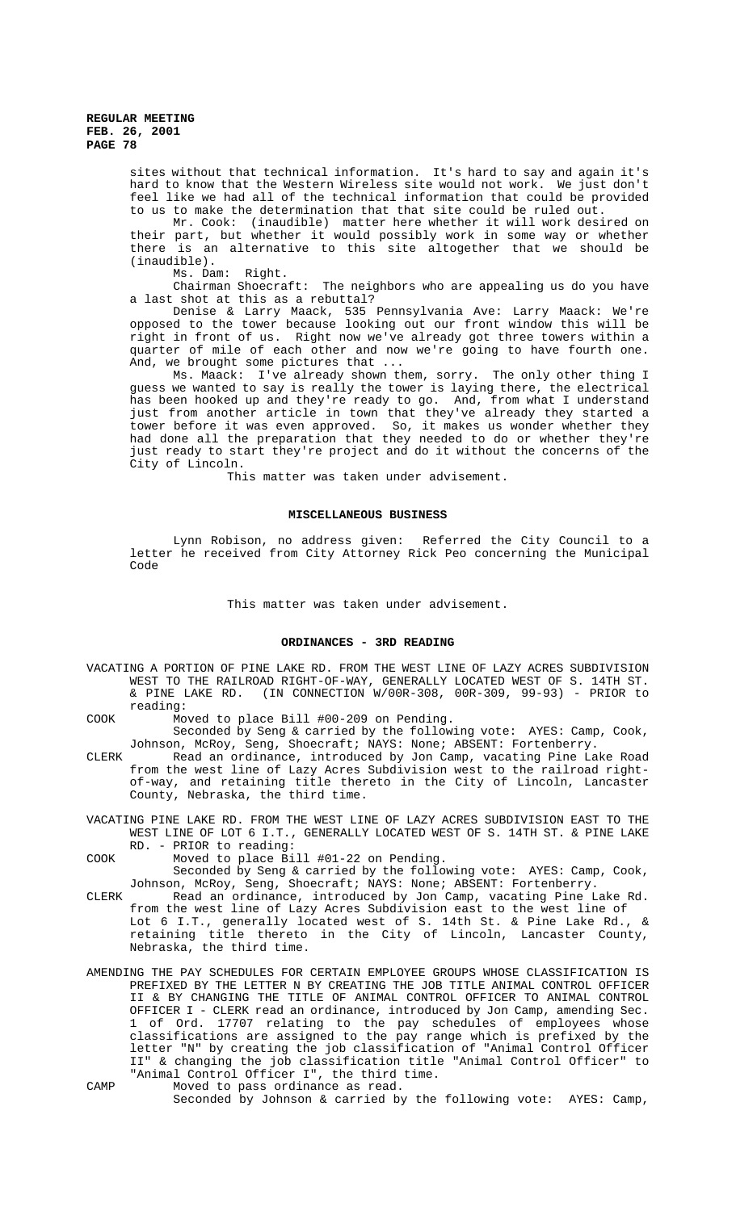sites without that technical information. It's hard to say and again it's hard to know that the Western Wireless site would not work. We just don't feel like we had all of the technical information that could be provided to us to make the determination that that site could be ruled out.

Mr. Cook: (inaudible) matter here whether it will work desired on their part, but whether it would possibly work in some way or whether there is an alternative to this site altogether that we should be (inaudible).

Ms. Dam: Right.

Chairman Shoecraft: The neighbors who are appealing us do you have a last shot at this as a rebuttal?

Denise & Larry Maack, 535 Pennsylvania Ave: Larry Maack: We're opposed to the tower because looking out our front window this will be right in front of us. Right now we've already got three towers within a quarter of mile of each other and now we're going to have fourth one. And, we brought some pictures that ...

Ms. Maack: I've already shown them, sorry. The only other thing I guess we wanted to say is really the tower is laying there, the electrical has been hooked up and they're ready to go. And, from what I understand just from another article in town that they've already they started a tower before it was even approved. So, it makes us wonder whether they had done all the preparation that they needed to do or whether they're just ready to start they're project and do it without the concerns of the City of Lincoln.

This matter was taken under advisement.

#### **MISCELLANEOUS BUSINESS**

Lynn Robison, no address given: Referred the City Council to a letter he received from City Attorney Rick Peo concerning the Municipal Code

#### This matter was taken under advisement.

### **ORDINANCES - 3RD READING**

VACATING A PORTION OF PINE LAKE RD. FROM THE WEST LINE OF LAZY ACRES SUBDIVISION WEST TO THE RAILROAD RIGHT-OF-WAY, GENERALLY LOCATED WEST OF S. 14TH ST. & PINE LAKE RD. (IN CONNECTION W/00R-308, 00R-309, 99-93) - PRIOR to reading:

COOK Moved to place Bill #00-209 on Pending.

Seconded by Seng & carried by the following vote: AYES: Camp, Cook, Johnson, McRoy, Seng, Shoecraft; NAYS: None; ABSENT: Fortenberry.

- CLERK Read an ordinance, introduced by Jon Camp, vacating Pine Lake Road from the west line of Lazy Acres Subdivision west to the railroad rightof-way, and retaining title thereto in the City of Lincoln, Lancaster County, Nebraska, the third time.
- VACATING PINE LAKE RD. FROM THE WEST LINE OF LAZY ACRES SUBDIVISION EAST TO THE WEST LINE OF LOT 6 I.T., GENERALLY LOCATED WEST OF S. 14TH ST. & PINE LAKE RD. - PRIOR to reading:
- COOK Moved to place Bill #01-22 on Pending.

Seconded by Seng & carried by the following vote: AYES: Camp, Cook, Johnson, McRoy, Seng, Shoecraft; NAYS: None; ABSENT: Fortenberry.

- CLERK Read an ordinance, introduced by Jon Camp, vacating Pine Lake Rd. from the west line of Lazy Acres Subdivision east to the west line of Lot 6 I.T., generally located west of S. 14th St. & Pine Lake Rd., & retaining title thereto in the City of Lincoln, Lancaster County, Nebraska, the third time.
- AMENDING THE PAY SCHEDULES FOR CERTAIN EMPLOYEE GROUPS WHOSE CLASSIFICATION IS PREFIXED BY THE LETTER N BY CREATING THE JOB TITLE ANIMAL CONTROL OFFICER II & BY CHANGING THE TITLE OF ANIMAL CONTROL OFFICER TO ANIMAL CONTROL OFFICER I - CLERK read an ordinance, introduced by Jon Camp, amending Sec. 1 of Ord. 17707 relating to the pay schedules of employees whose classifications are assigned to the pay range which is prefixed by the letter "N" by creating the job classification of "Animal Control Officer II" & changing the job classification title "Animal Control Officer" to "Animal Control Officer I", the third time.
- CAMP Moved to pass ordinance as read. Seconded by Johnson & carried by the following vote: AYES: Camp,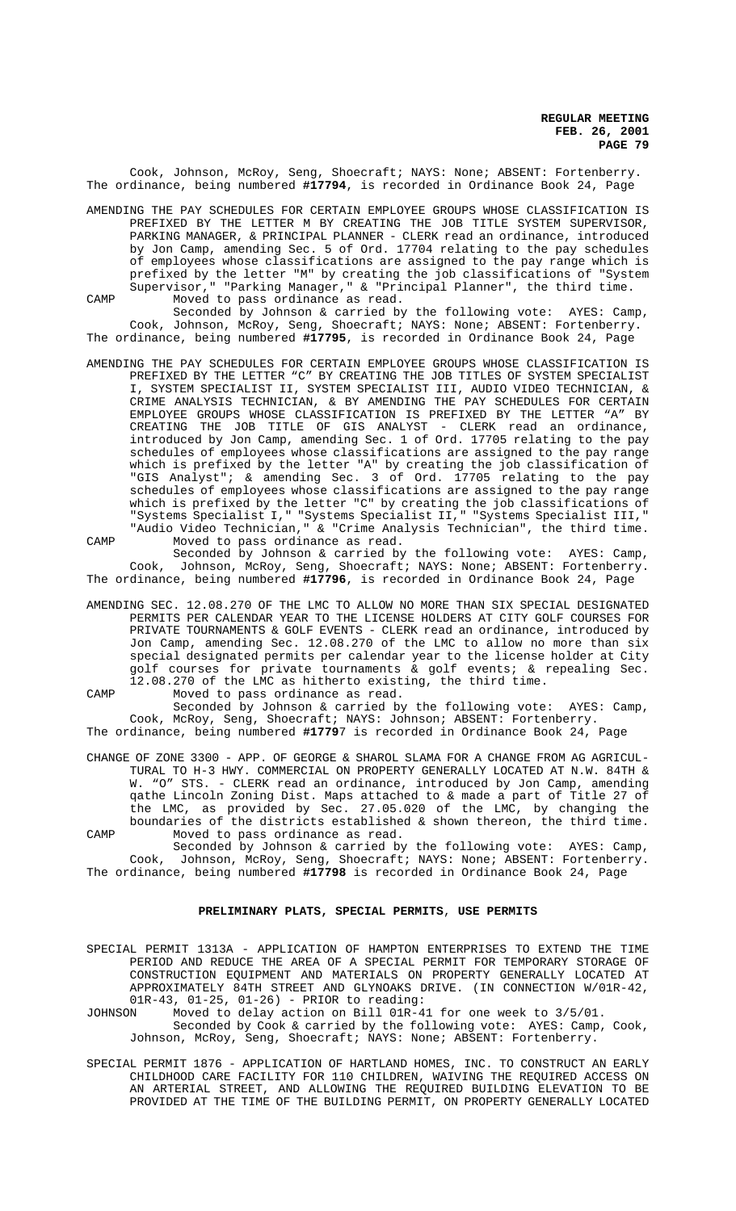Cook, Johnson, McRoy, Seng, Shoecraft; NAYS: None; ABSENT: Fortenberry. The ordinance, being numbered **#17794**, is recorded in Ordinance Book 24, Page

AMENDING THE PAY SCHEDULES FOR CERTAIN EMPLOYEE GROUPS WHOSE CLASSIFICATION IS PREFIXED BY THE LETTER M BY CREATING THE JOB TITLE SYSTEM SUPERVISOR, PARKING MANAGER, & PRINCIPAL PLANNER - CLERK read an ordinance, introduced by Jon Camp, amending Sec. 5 of Ord. 17704 relating to the pay schedules of employees whose classifications are assigned to the pay range which is prefixed by the letter "M" by creating the job classifications of "System Supervisor," "Parking Manager," & "Principal Planner", the third time. CAMP Moved to pass ordinance as read.

Seconded by Johnson & carried by the following vote: AYES: Camp, Cook, Johnson, McRoy, Seng, Shoecraft; NAYS: None; ABSENT: Fortenberry. The ordinance, being numbered **#17795**, is recorded in Ordinance Book 24, Page

AMENDING THE PAY SCHEDULES FOR CERTAIN EMPLOYEE GROUPS WHOSE CLASSIFICATION IS PREFIXED BY THE LETTER "C" BY CREATING THE JOB TITLES OF SYSTEM SPECIALIST I, SYSTEM SPECIALIST II, SYSTEM SPECIALIST III, AUDIO VIDEO TECHNICIAN, & CRIME ANALYSIS TECHNICIAN, & BY AMENDING THE PAY SCHEDULES FOR CERTAIN EMPLOYEE GROUPS WHOSE CLASSIFICATION IS PREFIXED BY THE LETTER "A" BY CREATING THE JOB TITLE OF GIS ANALYST - CLERK read an ordinance, introduced by Jon Camp, amending Sec. 1 of Ord. 17705 relating to the pay schedules of employees whose classifications are assigned to the pay range which is prefixed by the letter "A" by creating the job classification of "GIS Analyst"; & amending Sec. 3 of Ord. 17705 relating to the pay schedules of employees whose classifications are assigned to the pay range which is prefixed by the letter "C" by creating the job classifications of "Systems Specialist I," "Systems Specialist II," "Systems Specialist III," "Audio Video Technician," & "Crime Analysis Technician", the third time. CAMP Moved to pass ordinance as read.

Seconded by Johnson & carried by the following vote: AYES: Camp, Cook, Johnson, McRoy, Seng, Shoecraft; NAYS: None; ABSENT: Fortenberry. The ordinance, being numbered **#17796**, is recorded in Ordinance Book 24, Page

AMENDING SEC. 12.08.270 OF THE LMC TO ALLOW NO MORE THAN SIX SPECIAL DESIGNATED PERMITS PER CALENDAR YEAR TO THE LICENSE HOLDERS AT CITY GOLF COURSES FOR PRIVATE TOURNAMENTS & GOLF EVENTS - CLERK read an ordinance, introduced by Jon Camp, amending Sec. 12.08.270 of the LMC to allow no more than six special designated permits per calendar year to the license holder at City golf courses for private tournaments & golf events; & repealing Sec. 12.08.270 of the LMC as hitherto existing, the third time.

CAMP Moved to pass ordinance as read.

Seconded by Johnson & carried by the following vote: AYES: Camp, Cook, McRoy, Seng, Shoecraft; NAYS: Johnson; ABSENT: Fortenberry. The ordinance, being numbered **#1779**7 is recorded in Ordinance Book 24, Page

CHANGE OF ZONE 3300 - APP. OF GEORGE & SHAROL SLAMA FOR A CHANGE FROM AG AGRICUL-TURAL TO H-3 HWY. COMMERCIAL ON PROPERTY GENERALLY LOCATED AT N.W. 84TH & W. "O" STS. - CLERK read an ordinance, introduced by Jon Camp, amending qathe Lincoln Zoning Dist. Maps attached to & made a part of Title 27 of the LMC, as provided by Sec. 27.05.020 of the LMC, by changing the boundaries of the districts established & shown thereon, the third time. CAMP Moved to pass ordinance as read.

Seconded by Johnson & carried by the following vote: AYES: Camp, Cook, Johnson, McRoy, Seng, Shoecraft; NAYS: None; ABSENT: Fortenberry. The ordinance, being numbered **#17798** is recorded in Ordinance Book 24, Page

#### **PRELIMINARY PLATS, SPECIAL PERMITS**, **USE PERMITS**

SPECIAL PERMIT 1313A - APPLICATION OF HAMPTON ENTERPRISES TO EXTEND THE TIME PERIOD AND REDUCE THE AREA OF A SPECIAL PERMIT FOR TEMPORARY STORAGE OF CONSTRUCTION EQUIPMENT AND MATERIALS ON PROPERTY GENERALLY LOCATED AT APPROXIMATELY 84TH STREET AND GLYNOAKS DRIVE. (IN CONNECTION W/01R-42, 01R-43, 01-25, 01-26) - PRIOR to reading:<br>JOHNSON Moved to delay action on Bill 01R-4

Moved to delay action on Bill 01R-41 for one week to 3/5/01.

- Seconded by Cook & carried by the following vote: AYES: Camp, Cook, Johnson, McRoy, Seng, Shoecraft; NAYS: None; ABSENT: Fortenberry.
- SPECIAL PERMIT 1876 APPLICATION OF HARTLAND HOMES, INC. TO CONSTRUCT AN EARLY CHILDHOOD CARE FACILITY FOR 110 CHILDREN, WAIVING THE REQUIRED ACCESS ON AN ARTERIAL STREET, AND ALLOWING THE REQUIRED BUILDING ELEVATION TO BE PROVIDED AT THE TIME OF THE BUILDING PERMIT, ON PROPERTY GENERALLY LOCATED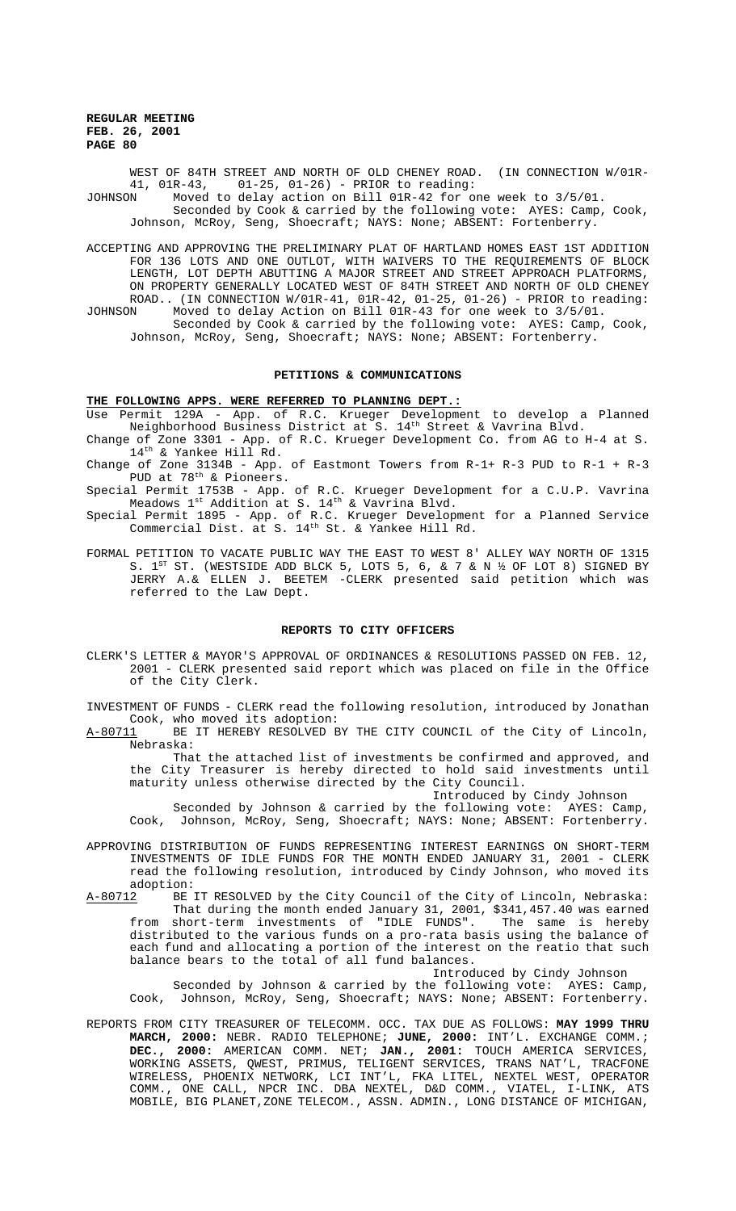WEST OF 84TH STREET AND NORTH OF OLD CHENEY ROAD. (IN CONNECTION W/01R-41, 01R-43, 01-25, 01-26) - PRIOR to reading:<br>JOHNSON Moved to delay action on Bill 01R-42 for o

Moved to delay action on Bill 01R-42 for one week to 3/5/01.

Seconded by Cook & carried by the following vote: AYES: Camp, Cook, Johnson, McRoy, Seng, Shoecraft; NAYS: None; ABSENT: Fortenberry.

ACCEPTING AND APPROVING THE PRELIMINARY PLAT OF HARTLAND HOMES EAST 1ST ADDITION FOR 136 LOTS AND ONE OUTLOT, WITH WAIVERS TO THE REQUIREMENTS OF BLOCK LENGTH, LOT DEPTH ABUTTING A MAJOR STREET AND STREET APPROACH PLATFORMS, ON PROPERTY GENERALLY LOCATED WEST OF 84TH STREET AND NORTH OF OLD CHENEY ROAD.. (IN CONNECTION W/01R-41, 01R-42, 01-25, 01-26) - PRIOR to reading: JOHNSON Moved to delay Action on Bill 01R-43 for one week to 3/5/01.

Seconded by Cook & carried by the following vote: AYES: Camp, Cook, Johnson, McRoy, Seng, Shoecraft; NAYS: None; ABSENT: Fortenberry.

#### **PETITIONS & COMMUNICATIONS**

#### **THE FOLLOWING APPS. WERE REFERRED TO PLANNING DEPT.:**

Use Permit 129A - App. of R.C. Krueger Development to develop a Planned Neighborhood Business District at S.  $14^{\rm th}$  Street & Vavrina Blvd.

Change of Zone 3301 - App. of R.C. Krueger Development Co. from AG to H-4 at S. 14th & Yankee Hill Rd.

Change of Zone  $3134B$  - App. of Eastmont Towers from R-1+ R-3 PUD to R-1 + R-3 PUD at 78th & Pioneers.

Special Permit 1753B - App. of R.C. Krueger Development for a C.U.P. Vavrina Meadows 1st Addition at S. 14<sup>th</sup> & Vavrina Blvd.

Special Permit 1895 - App. of R.C. Krueger Development for a Planned Service Commercial Dist. at S. 14<sup>th</sup> St. & Yankee Hill Rd.

FORMAL PETITION TO VACATE PUBLIC WAY THE EAST TO WEST 8' ALLEY WAY NORTH OF 1315 S.  $1^{ST}$  ST. (WESTSIDE ADD BLCK 5, LOTS 5, 6, & 7 & N ½ OF LOT 8) SIGNED BY JERRY A.& ELLEN J. BEETEM -CLERK presented said petition which was referred to the Law Dept.

#### **REPORTS TO CITY OFFICERS**

CLERK'S LETTER & MAYOR'S APPROVAL OF ORDINANCES & RESOLUTIONS PASSED ON FEB. 12, 2001 - CLERK presented said report which was placed on file in the Office of the City Clerk.

INVESTMENT OF FUNDS - CLERK read the following resolution, introduced by Jonathan Cook, who moved its adoption:

A-80711 BE IT HEREBY RESOLVED BY THE CITY COUNCIL of the City of Lincoln, Nebraska:

That the attached list of investments be confirmed and approved, and the City Treasurer is hereby directed to hold said investments until maturity unless otherwise directed by the City Council.

Introduced by Cindy Johnson

Seconded by Johnson & carried by the following vote: AYES: Camp, Cook, Johnson, McRoy, Seng, Shoecraft; NAYS: None; ABSENT: Fortenberry.

APPROVING DISTRIBUTION OF FUNDS REPRESENTING INTEREST EARNINGS ON SHORT-TERM INVESTMENTS OF IDLE FUNDS FOR THE MONTH ENDED JANUARY 31, 2001 - CLERK read the following resolution, introduced by Cindy Johnson, who moved its adoption:<br>A-80712 BE

BE IT RESOLVED by the City Council of the City of Lincoln, Nebraska: That during the month ended January 31, 2001, \$341,457.40 was earned from short-term investments of "IDLE FUNDS". The same is hereby distributed to the various funds on a pro-rata basis using the balance of each fund and allocating a portion of the interest on the reatio that such balance bears to the total of all fund balances.

Introduced by Cindy Johnson

Seconded by Johnson & carried by the following vote: AYES: Camp, Cook, Johnson, McRoy, Seng, Shoecraft; NAYS: None; ABSENT: Fortenberry.

REPORTS FROM CITY TREASURER OF TELECOMM. OCC. TAX DUE AS FOLLOWS: **MAY 1999 THRU MARCH, 2000:** NEBR. RADIO TELEPHONE; **JUNE, 2000:** INT'L. EXCHANGE COMM.; **DEC., 2000:** AMERICAN COMM. NET; **JAN., 2001:** TOUCH AMERICA SERVICES, WORKING ASSETS, QWEST, PRIMUS, TELIGENT SERVICES, TRANS NAT'L, TRACFONE WIRELESS, PHOENIX NETWORK, LCI INT'L, FKA LITEL, NEXTEL WEST, OPERATOR COMM., ONE CALL, NPCR INC. DBA NEXTEL, D&D COMM., VIATEL, I-LINK, ATS MOBILE, BIG PLANET,ZONE TELECOM., ASSN. ADMIN., LONG DISTANCE OF MICHIGAN,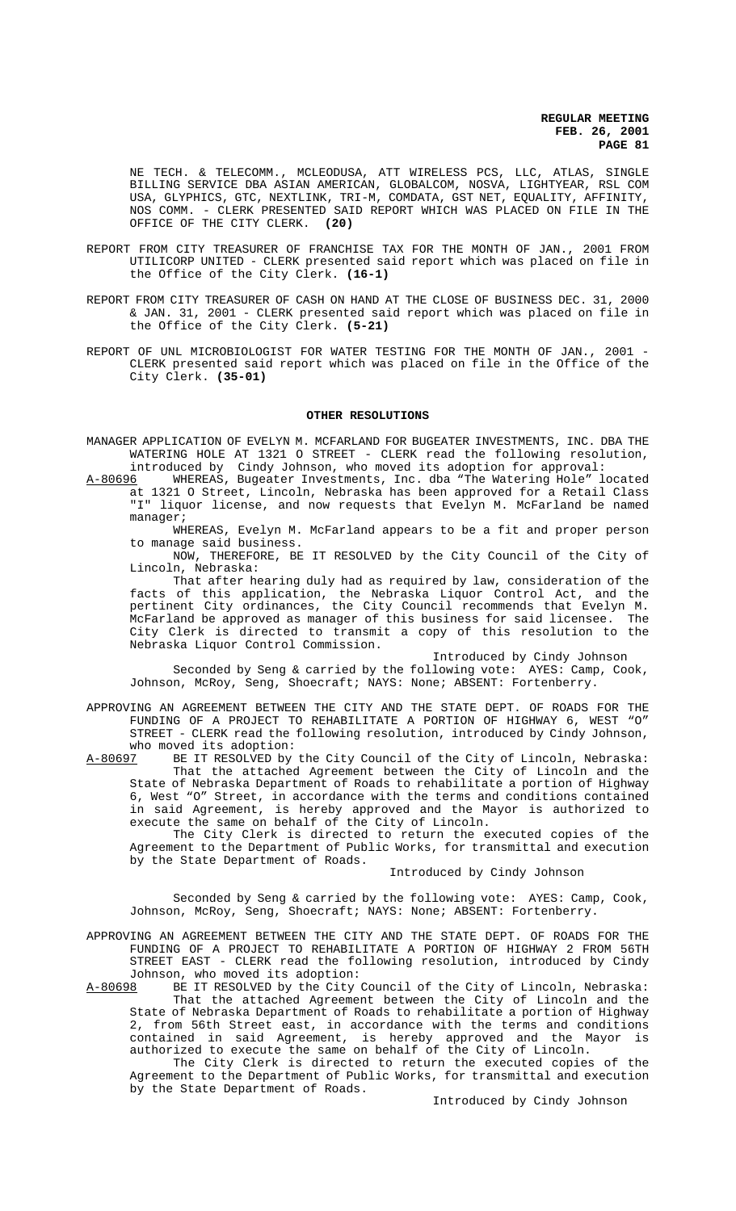NE TECH. & TELECOMM., MCLEODUSA, ATT WIRELESS PCS, LLC, ATLAS, SINGLE BILLING SERVICE DBA ASIAN AMERICAN, GLOBALCOM, NOSVA, LIGHTYEAR, RSL COM USA, GLYPHICS, GTC, NEXTLINK, TRI-M, COMDATA, GST NET, EQUALITY, AFFINITY, NOS COMM. - CLERK PRESENTED SAID REPORT WHICH WAS PLACED ON FILE IN THE OFFICE OF THE CITY CLERK. **(20)**

- REPORT FROM CITY TREASURER OF FRANCHISE TAX FOR THE MONTH OF JAN., 2001 FROM UTILICORP UNITED - CLERK presented said report which was placed on file in the Office of the City Clerk. **(16-1)**
- REPORT FROM CITY TREASURER OF CASH ON HAND AT THE CLOSE OF BUSINESS DEC. 31, 2000 & JAN. 31, 2001 - CLERK presented said report which was placed on file in the Office of the City Clerk. **(5-21)**
- REPORT OF UNL MICROBIOLOGIST FOR WATER TESTING FOR THE MONTH OF JAN., 2001 CLERK presented said report which was placed on file in the Office of the City Clerk. **(35-01)**

#### **OTHER RESOLUTIONS**

MANAGER APPLICATION OF EVELYN M. MCFARLAND FOR BUGEATER INVESTMENTS, INC. DBA THE WATERING HOLE AT 1321 O STREET - CLERK read the following resolution,

introduced by Cindy Johnson, who moved its adoption for approval:<br>A-80696 WHEREAS, Bugeater Investments, Inc. dba "The Watering Hole" lo WHEREAS, Bugeater Investments, Inc. dba "The Watering Hole" located at 1321 O Street, Lincoln, Nebraska has been approved for a Retail Class "I" liquor license, and now requests that Evelyn M. McFarland be named manager;

WHEREAS, Evelyn M. McFarland appears to be a fit and proper person to manage said business.

NOW, THEREFORE, BE IT RESOLVED by the City Council of the City of Lincoln, Nebraska:

That after hearing duly had as required by law, consideration of the facts of this application, the Nebraska Liquor Control Act, and the pertinent City ordinances, the City Council recommends that Evelyn M. McFarland be approved as manager of this business for said licensee. The City Clerk is directed to transmit a copy of this resolution to the Nebraska Liquor Control Commission.

Introduced by Cindy Johnson

Seconded by Seng & carried by the following vote: AYES: Camp, Cook, Johnson, McRoy, Seng, Shoecraft; NAYS: None; ABSENT: Fortenberry.

APPROVING AN AGREEMENT BETWEEN THE CITY AND THE STATE DEPT. OF ROADS FOR THE FUNDING OF A PROJECT TO REHABILITATE A PORTION OF HIGHWAY 6, WEST "O" STREET - CLERK read the following resolution, introduced by Cindy Johnson, who moved its adoption:<br>A-80697 BE IT RESOLVED by

BE IT RESOLVED by the City Council of the City of Lincoln, Nebraska: That the attached Agreement between the City of Lincoln and the State of Nebraska Department of Roads to rehabilitate a portion of Highway 6, West "O" Street, in accordance with the terms and conditions contained in said Agreement, is hereby approved and the Mayor is authorized to execute the same on behalf of the City of Lincoln.

The City Clerk is directed to return the executed copies of the Agreement to the Department of Public Works, for transmittal and execution by the State Department of Roads.

#### Introduced by Cindy Johnson

Seconded by Seng & carried by the following vote: AYES: Camp, Cook, Johnson, McRoy, Seng, Shoecraft; NAYS: None; ABSENT: Fortenberry.

APPROVING AN AGREEMENT BETWEEN THE CITY AND THE STATE DEPT. OF ROADS FOR THE FUNDING OF A PROJECT TO REHABILITATE A PORTION OF HIGHWAY 2 FROM 56TH STREET EAST - CLERK read the following resolution, introduced by Cindy Johnson, who moved its adoption:

A-80698 BE IT RESOLVED by the City Council of the City of Lincoln, Nebraska: That the attached Agreement between the City of Lincoln and the State of Nebraska Department of Roads to rehabilitate a portion of Highway 2, from 56th Street east, in accordance with the terms and conditions contained in said Agreement, is hereby approved and the Mayor is authorized to execute the same on behalf of the City of Lincoln.

The City Clerk is directed to return the executed copies of the Agreement to the Department of Public Works, for transmittal and execution by the State Department of Roads.

#### Introduced by Cindy Johnson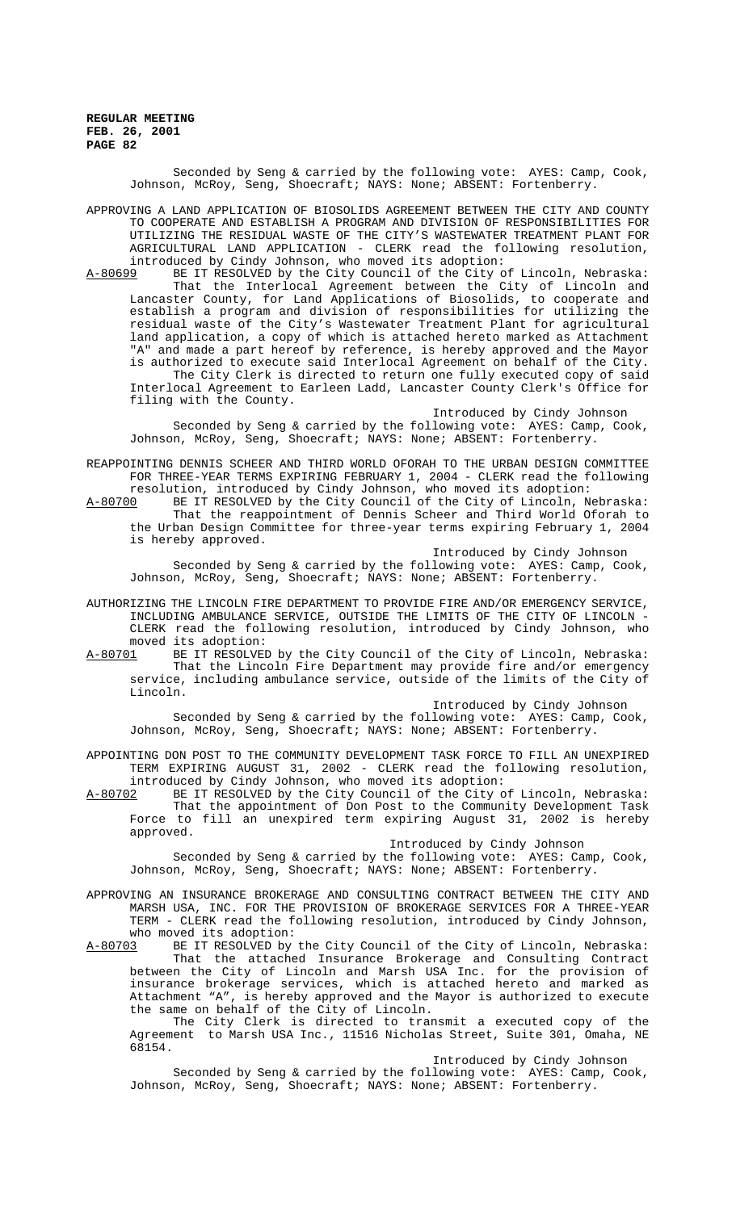> Seconded by Seng & carried by the following vote: AYES: Camp, Cook, Johnson, McRoy, Seng, Shoecraft; NAYS: None; ABSENT: Fortenberry.

APPROVING A LAND APPLICATION OF BIOSOLIDS AGREEMENT BETWEEN THE CITY AND COUNTY TO COOPERATE AND ESTABLISH A PROGRAM AND DIVISION OF RESPONSIBILITIES FOR UTILIZING THE RESIDUAL WASTE OF THE CITY'S WASTEWATER TREATMENT PLANT FOR AGRICULTURAL LAND APPLICATION - CLERK read the following resolution, introduced by Cindy Johnson, who moved its adoption:

A-80699 BE IT RESOLVED by the City Council of the City of Lincoln, Nebraska: That the Interlocal Agreement between the City of Lincoln and Lancaster County, for Land Applications of Biosolids, to cooperate and establish a program and division of responsibilities for utilizing the residual waste of the City's Wastewater Treatment Plant for agricultural land application, a copy of which is attached hereto marked as Attachment "A" and made a part hereof by reference, is hereby approved and the Mayor is authorized to execute said Interlocal Agreement on behalf of the City. The City Clerk is directed to return one fully executed copy of said Interlocal Agreement to Earleen Ladd, Lancaster County Clerk's Office for filing with the County.

Introduced by Cindy Johnson Seconded by Seng & carried by the following vote: AYES: Camp, Cook, Johnson, McRoy, Seng, Shoecraft; NAYS: None; ABSENT: Fortenberry.

REAPPOINTING DENNIS SCHEER AND THIRD WORLD OFORAH TO THE URBAN DESIGN COMMITTEE FOR THREE-YEAR TERMS EXPIRING FEBRUARY 1, 2004 - CLERK read the following resolution, introduced by Cindy Johnson, who moved its adoption:

A-80700 BE IT RESOLVED by the City Council of the City of Lincoln, Nebraska: That the reappointment of Dennis Scheer and Third World Oforah to the Urban Design Committee for three-year terms expiring February 1, 2004 is hereby approved.

Introduced by Cindy Johnson

Seconded by Seng & carried by the following vote: AYES: Camp, Cook, Johnson, McRoy, Seng, Shoecraft; NAYS: None; ABSENT: Fortenberry.

AUTHORIZING THE LINCOLN FIRE DEPARTMENT TO PROVIDE FIRE AND/OR EMERGENCY SERVICE, INCLUDING AMBULANCE SERVICE, OUTSIDE THE LIMITS OF THE CITY OF LINCOLN - CLERK read the following resolution, introduced by Cindy Johnson, who moved its adoption:<br>A-80701 BE IT RESOLVEI

BE IT RESOLVED by the City Council of the City of Lincoln, Nebraska: That the Lincoln Fire Department may provide fire and/or emergency service, including ambulance service, outside of the limits of the City of Lincoln.

Introduced by Cindy Johnson

Seconded by Seng & carried by the following vote: AYES: Camp, Cook, Johnson, McRoy, Seng, Shoecraft; NAYS: None; ABSENT: Fortenberry.

APPOINTING DON POST TO THE COMMUNITY DEVELOPMENT TASK FORCE TO FILL AN UNEXPIRED TERM EXPIRING AUGUST 31, 2002 - CLERK read the following resolution, introduced by Cindy Johnson, who moved its adoption:

A-80702 BE IT RESOLVED by the City Council of the City of Lincoln, Nebraska: That the appointment of Don Post to the Community Development Task Force to fill an unexpired term expiring August 31, 2002 is hereby approved.

Introduced by Cindy Johnson

Seconded by Seng & carried by the following vote: AYES: Camp, Cook, Johnson, McRoy, Seng, Shoecraft; NAYS: None; ABSENT: Fortenberry.

APPROVING AN INSURANCE BROKERAGE AND CONSULTING CONTRACT BETWEEN THE CITY AND MARSH USA, INC. FOR THE PROVISION OF BROKERAGE SERVICES FOR A THREE-YEAR TERM - CLERK read the following resolution, introduced by Cindy Johnson, who moved its adoption:<br>A-80703 BE IT RESOLVED by

BE IT RESOLVED by the City Council of the City of Lincoln, Nebraska: That the attached Insurance Brokerage and Consulting Contract between the City of Lincoln and Marsh USA Inc. for the provision of insurance brokerage services, which is attached hereto and marked as Attachment "A", is hereby approved and the Mayor is authorized to execute the same on behalf of the City of Lincoln.

The City Clerk is directed to transmit a executed copy of the Agreement to Marsh USA Inc., 11516 Nicholas Street, Suite 301, Omaha, NE 68154.

Introduced by Cindy Johnson

Seconded by Seng & carried by the following vote: AYES: Camp, Cook, Johnson, McRoy, Seng, Shoecraft; NAYS: None; ABSENT: Fortenberry.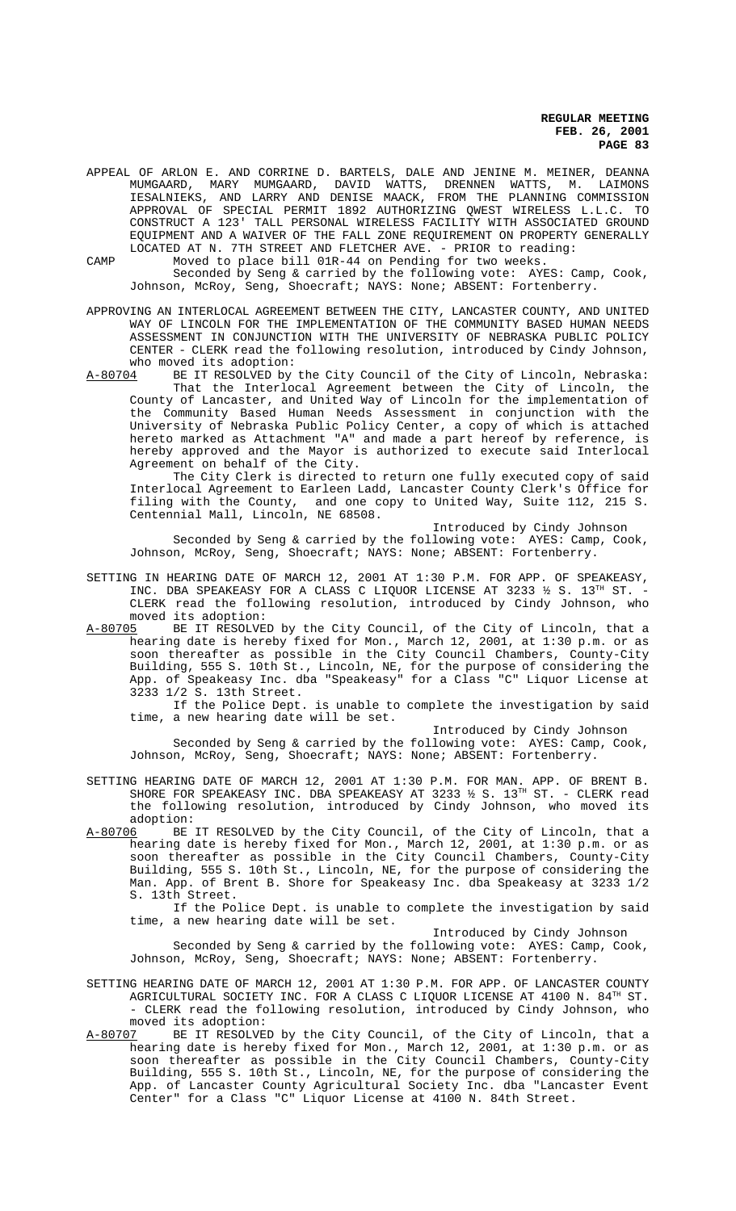APPEAL OF ARLON E. AND CORRINE D. BARTELS, DALE AND JENINE M. MEINER, DEANNA MUMGAARD, MARY MUMGAARD, DAVID WATTS, DRENNEN WATTS, M. LAIMONS IESALNIEKS, AND LARRY AND DENISE MAACK, FROM THE PLANNING COMMISSION APPROVAL OF SPECIAL PERMIT 1892 AUTHORIZING QWEST WIRELESS L.L.C. TO CONSTRUCT A 123' TALL PERSONAL WIRELESS FACILITY WITH ASSOCIATED GROUND EQUIPMENT AND A WAIVER OF THE FALL ZONE REQUIREMENT ON PROPERTY GENERALLY LOCATED AT N. 7TH STREET AND FLETCHER AVE. - PRIOR to reading:

CAMP Moved to place bill 01R-44 on Pending for two weeks. Seconded by Seng & carried by the following vote: AYES: Camp, Cook,

Johnson, McRoy, Seng, Shoecraft; NAYS: None; ABSENT: Fortenberry.

APPROVING AN INTERLOCAL AGREEMENT BETWEEN THE CITY, LANCASTER COUNTY, AND UNITED WAY OF LINCOLN FOR THE IMPLEMENTATION OF THE COMMUNITY BASED HUMAN NEEDS ASSESSMENT IN CONJUNCTION WITH THE UNIVERSITY OF NEBRASKA PUBLIC POLICY CENTER - CLERK read the following resolution, introduced by Cindy Johnson, who moved its adoption:

A-80704 BE IT RESOLVED by the City Council of the City of Lincoln, Nebraska: That the Interlocal Agreement between the City of Lincoln, the County of Lancaster, and United Way of Lincoln for the implementation of the Community Based Human Needs Assessment in conjunction with the University of Nebraska Public Policy Center, a copy of which is attached hereto marked as Attachment "A" and made a part hereof by reference, is hereby approved and the Mayor is authorized to execute said Interlocal Agreement on behalf of the City.

The City Clerk is directed to return one fully executed copy of said Interlocal Agreement to Earleen Ladd, Lancaster County Clerk's Office for filing with the County, and one copy to United Way, Suite 112, 215 S. Centennial Mall, Lincoln, NE 68508.

Introduced by Cindy Johnson

Seconded by Seng & carried by the following vote: AYES: Camp, Cook, Johnson, McRoy, Seng, Shoecraft; NAYS: None; ABSENT: Fortenberry.

SETTING IN HEARING DATE OF MARCH 12, 2001 AT 1:30 P.M. FOR APP. OF SPEAKEASY, INC. DBA SPEAKEASY FOR A CLASS C LIQUOR LICENSE AT 3233  $\frac{1}{2}$  S. 13<sup>TH</sup> ST. -CLERK read the following resolution, introduced by Cindy Johnson, who

moved its adoption:<br>A-80705 BE IT RESOLVE BE IT RESOLVED by the City Council, of the City of Lincoln, that a hearing date is hereby fixed for Mon., March 12, 2001, at 1:30 p.m. or as soon thereafter as possible in the City Council Chambers, County-City Building, 555 S. 10th St., Lincoln, NE, for the purpose of considering the App. of Speakeasy Inc. dba "Speakeasy" for a Class "C" Liquor License at 3233 1/2 S. 13th Street.

If the Police Dept. is unable to complete the investigation by said time, a new hearing date will be set.

Introduced by Cindy Johnson Seconded by Seng & carried by the following vote: AYES: Camp, Cook, Johnson, McRoy, Seng, Shoecraft; NAYS: None; ABSENT: Fortenberry.

- SETTING HEARING DATE OF MARCH 12, 2001 AT 1:30 P.M. FOR MAN. APP. OF BRENT B. SHORE FOR SPEAKEASY INC. DBA SPEAKEASY AT 3233  $\frac{1}{2}$  S. 13<sup>TH</sup> ST. - CLERK read the following resolution, introduced by Cindy Johnson, who moved its adoption:<br><u>A-80706</u> BE
- A-80706 BE IT RESOLVED by the City Council, of the City of Lincoln, that a hearing date is hereby fixed for Mon., March 12, 2001, at 1:30 p.m. or as soon thereafter as possible in the City Council Chambers, County-City Building, 555 S. 10th St., Lincoln, NE, for the purpose of considering the Man. App. of Brent B. Shore for Speakeasy Inc. dba Speakeasy at 3233 1/2 S. 13th Street.

If the Police Dept. is unable to complete the investigation by said time, a new hearing date will be set.

Introduced by Cindy Johnson Seconded by Seng & carried by the following vote: AYES: Camp, Cook, Johnson, McRoy, Seng, Shoecraft; NAYS: None; ABSENT: Fortenberry.

SETTING HEARING DATE OF MARCH 12, 2001 AT 1:30 P.M. FOR APP. OF LANCASTER COUNTY AGRICULTURAL SOCIETY INC. FOR A CLASS C LIQUOR LICENSE AT 4100 N. 84<sup>TH</sup> ST. - CLERK read the following resolution, introduced by Cindy Johnson, who moved its adoption:

A-80707 BE IT RESOLVED by the City Council, of the City of Lincoln, that a hearing date is hereby fixed for Mon., March 12, 2001, at 1:30 p.m. or as soon thereafter as possible in the City Council Chambers, County-City Building, 555 S. 10th St., Lincoln, NE, for the purpose of considering the App. of Lancaster County Agricultural Society Inc. dba "Lancaster Event Center" for a Class "C" Liquor License at 4100 N. 84th Street.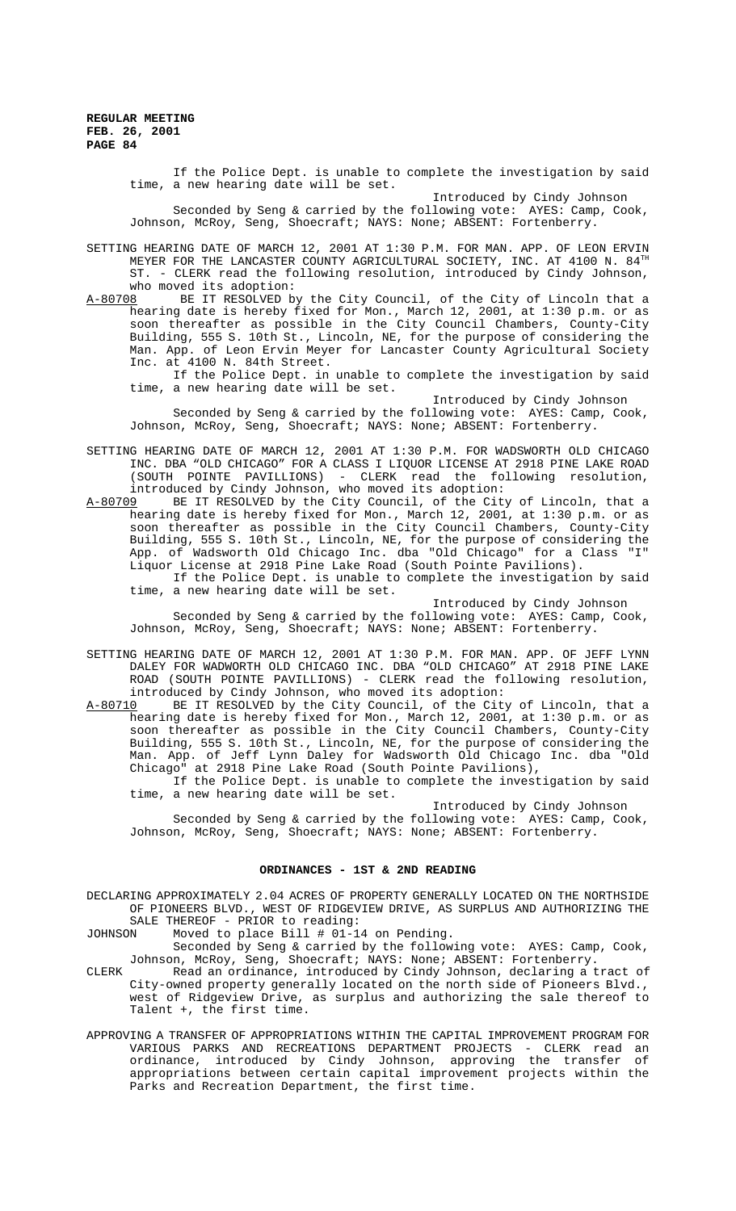> If the Police Dept. is unable to complete the investigation by said time, a new hearing date will be set.

> > Introduced by Cindy Johnson

Seconded by Seng & carried by the following vote: AYES: Camp, Cook, Johnson, McRoy, Seng, Shoecraft; NAYS: None; ABSENT: Fortenberry.

SETTING HEARING DATE OF MARCH 12, 2001 AT 1:30 P.M. FOR MAN. APP. OF LEON ERVIN MEYER FOR THE LANCASTER COUNTY AGRICULTURAL SOCIETY, INC. AT 4100 N. 84TH ST. - CLERK read the following resolution, introduced by Cindy Johnson,

who moved its adoption:<br>A-80708 BE IT RESOLVED b BE IT RESOLVED by the City Council, of the City of Lincoln that a hearing date is hereby fixed for Mon., March 12, 2001, at 1:30 p.m. or as soon thereafter as possible in the City Council Chambers, County-City Building, 555 S. 10th St., Lincoln, NE, for the purpose of considering the Man. App. of Leon Ervin Meyer for Lancaster County Agricultural Society Inc. at 4100 N. 84th Street.

If the Police Dept. in unable to complete the investigation by said time, a new hearing date will be set.

Introduced by Cindy Johnson

Seconded by Seng & carried by the following vote: AYES: Camp, Cook, Johnson, McRoy, Seng, Shoecraft; NAYS: None; ABSENT: Fortenberry.

- SETTING HEARING DATE OF MARCH 12, 2001 AT 1:30 P.M. FOR WADSWORTH OLD CHICAGO INC. DBA "OLD CHICAGO" FOR A CLASS I LIQUOR LICENSE AT 2918 PINE LAKE ROAD (SOUTH POINTE PAVILLIONS) - CLERK read the following resolution, introduced by Cindy Johnson, who moved its adoption:
- A-80709 BE IT RESOLVED by the City Council, of the City of Lincoln, that a hearing date is hereby fixed for Mon., March 12, 2001, at 1:30 p.m. or as soon thereafter as possible in the City Council Chambers, County-City Building, 555 S. 10th St., Lincoln, NE, for the purpose of considering the App. of Wadsworth Old Chicago Inc. dba "Old Chicago" for a Class "I" Liquor License at 2918 Pine Lake Road (South Pointe Pavilions).

If the Police Dept. is unable to complete the investigation by said time, a new hearing date will be set.

Introduced by Cindy Johnson

Seconded by Seng & carried by the following vote: AYES: Camp, Cook, Johnson, McRoy, Seng, Shoecraft; NAYS: None; ABSENT: Fortenberry.

- SETTING HEARING DATE OF MARCH 12, 2001 AT 1:30 P.M. FOR MAN. APP. OF JEFF LYNN DALEY FOR WADWORTH OLD CHICAGO INC. DBA "OLD CHICAGO" AT 2918 PINE LAKE ROAD (SOUTH POINTE PAVILLIONS) - CLERK read the following resolution, introduced by Cindy Johnson, who moved its adoption:
- A-80710 BE IT RESOLVED by the City Council, of the City of Lincoln, that a hearing date is hereby fixed for Mon., March 12, 2001, at 1:30 p.m. or as soon thereafter as possible in the City Council Chambers, County-City Building, 555 S. 10th St., Lincoln, NE, for the purpose of considering the Man. App. of Jeff Lynn Daley for Wadsworth Old Chicago Inc. dba "Old Chicago" at 2918 Pine Lake Road (South Pointe Pavilions),

If the Police Dept. is unable to complete the investigation by said time, a new hearing date will be set.

Introduced by Cindy Johnson

Seconded by Seng & carried by the following vote: AYES: Camp, Cook, Johnson, McRoy, Seng, Shoecraft; NAYS: None; ABSENT: Fortenberry.

#### **ORDINANCES - 1ST & 2ND READING**

DECLARING APPROXIMATELY 2.04 ACRES OF PROPERTY GENERALLY LOCATED ON THE NORTHSIDE OF PIONEERS BLVD., WEST OF RIDGEVIEW DRIVE, AS SURPLUS AND AUTHORIZING THE SALE THEREOF - PRIOR to reading:

JOHNSON Moved to place Bill # 01-14 on Pending.

Seconded by Seng & carried by the following vote: AYES: Camp, Cook, Johnson, McRoy, Seng, Shoecraft; NAYS: None; ABSENT: Fortenberry.

- CLERK Read an ordinance, introduced by Cindy Johnson, declaring a tract of City-owned property generally located on the north side of Pioneers Blvd., west of Ridgeview Drive, as surplus and authorizing the sale thereof to Talent +, the first time.
- APPROVING A TRANSFER OF APPROPRIATIONS WITHIN THE CAPITAL IMPROVEMENT PROGRAM FOR VARIOUS PARKS AND RECREATIONS DEPARTMENT PROJECTS - CLERK read an ordinance, introduced by Cindy Johnson, approving the transfer of appropriations between certain capital improvement projects within the Parks and Recreation Department, the first time.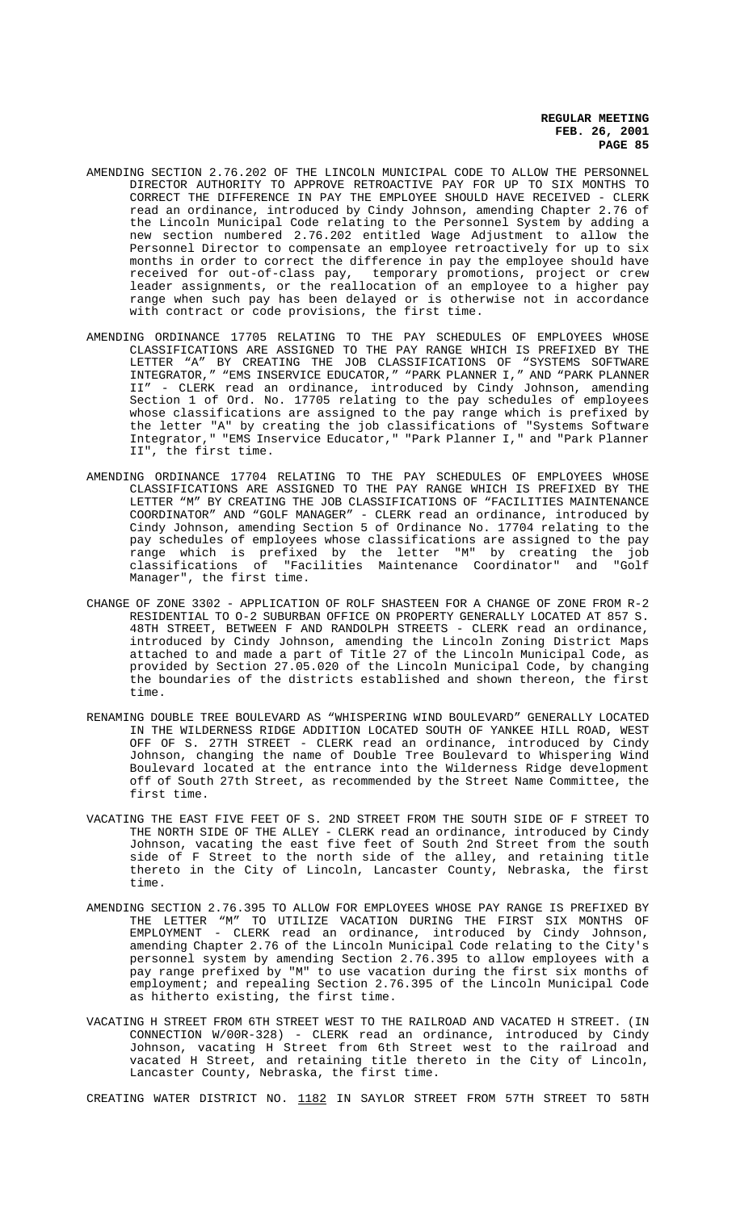- AMENDING SECTION 2.76.202 OF THE LINCOLN MUNICIPAL CODE TO ALLOW THE PERSONNEL DIRECTOR AUTHORITY TO APPROVE RETROACTIVE PAY FOR UP TO SIX MONTHS TO CORRECT THE DIFFERENCE IN PAY THE EMPLOYEE SHOULD HAVE RECEIVED - CLERK read an ordinance, introduced by Cindy Johnson, amending Chapter 2.76 of the Lincoln Municipal Code relating to the Personnel System by adding a new section numbered 2.76.202 entitled Wage Adjustment to allow the Personnel Director to compensate an employee retroactively for up to six months in order to correct the difference in pay the employee should have received for out-of-class pay, temporary promotions, project or crew leader assignments, or the reallocation of an employee to a higher pay range when such pay has been delayed or is otherwise not in accordance with contract or code provisions, the first time.
- AMENDING ORDINANCE 17705 RELATING TO THE PAY SCHEDULES OF EMPLOYEES WHOSE CLASSIFICATIONS ARE ASSIGNED TO THE PAY RANGE WHICH IS PREFIXED BY THE LETTER "A" BY CREATING THE JOB CLASSIFICATIONS OF "SYSTEMS SOFTWARE INTEGRATOR," "EMS INSERVICE EDUCATOR," "PARK PLANNER I," AND "PARK PLANNER II" - CLERK read an ordinance, introduced by Cindy Johnson, amending Section 1 of Ord. No. 17705 relating to the pay schedules of employees whose classifications are assigned to the pay range which is prefixed by the letter "A" by creating the job classifications of "Systems Software Integrator," "EMS Inservice Educator," "Park Planner I," and "Park Planner II", the first time.
- AMENDING ORDINANCE 17704 RELATING TO THE PAY SCHEDULES OF EMPLOYEES WHOSE CLASSIFICATIONS ARE ASSIGNED TO THE PAY RANGE WHICH IS PREFIXED BY THE LETTER "M" BY CREATING THE JOB CLASSIFICATIONS OF "FACILITIES MAINTENANCE COORDINATOR" AND "GOLF MANAGER" - CLERK read an ordinance, introduced by Cindy Johnson, amending Section 5 of Ordinance No. 17704 relating to the pay schedules of employees whose classifications are assigned to the pay range which is prefixed by the letter "M" by creating the job classifications of "Facilities Maintenance Coordinator" and "Golf Manager", the first time.
- CHANGE OF ZONE 3302 APPLICATION OF ROLF SHASTEEN FOR A CHANGE OF ZONE FROM R-2 RESIDENTIAL TO O-2 SUBURBAN OFFICE ON PROPERTY GENERALLY LOCATED AT 857 S. 48TH STREET, BETWEEN F AND RANDOLPH STREETS - CLERK read an ordinance, introduced by Cindy Johnson, amending the Lincoln Zoning District Maps attached to and made a part of Title 27 of the Lincoln Municipal Code, as provided by Section 27.05.020 of the Lincoln Municipal Code, by changing the boundaries of the districts established and shown thereon, the first time.
- RENAMING DOUBLE TREE BOULEVARD AS "WHISPERING WIND BOULEVARD" GENERALLY LOCATED IN THE WILDERNESS RIDGE ADDITION LOCATED SOUTH OF YANKEE HILL ROAD, WEST OFF OF S. 27TH STREET - CLERK read an ordinance, introduced by Cindy Johnson, changing the name of Double Tree Boulevard to Whispering Wind Boulevard located at the entrance into the Wilderness Ridge development off of South 27th Street, as recommended by the Street Name Committee, the first time.
- VACATING THE EAST FIVE FEET OF S. 2ND STREET FROM THE SOUTH SIDE OF F STREET TO THE NORTH SIDE OF THE ALLEY - CLERK read an ordinance, introduced by Cindy Johnson, vacating the east five feet of South 2nd Street from the south side of F Street to the north side of the alley, and retaining title thereto in the City of Lincoln, Lancaster County, Nebraska, the first time.
- AMENDING SECTION 2.76.395 TO ALLOW FOR EMPLOYEES WHOSE PAY RANGE IS PREFIXED BY THE LETTER "M" TO UTILIZE VACATION DURING THE FIRST SIX MONTHS OF EMPLOYMENT - CLERK read an ordinance, introduced by Cindy Johnson, amending Chapter 2.76 of the Lincoln Municipal Code relating to the City's personnel system by amending Section 2.76.395 to allow employees with a pay range prefixed by "M" to use vacation during the first six months of employment; and repealing Section 2.76.395 of the Lincoln Municipal Code as hitherto existing, the first time.
- VACATING H STREET FROM 6TH STREET WEST TO THE RAILROAD AND VACATED H STREET. (IN CONNECTION W/00R-328) - CLERK read an ordinance, introduced by Cindy Johnson, vacating H Street from 6th Street west to the railroad and vacated H Street, and retaining title thereto in the City of Lincoln, Lancaster County, Nebraska, the first time.

CREATING WATER DISTRICT NO. 1182 IN SAYLOR STREET FROM 57TH STREET TO 58TH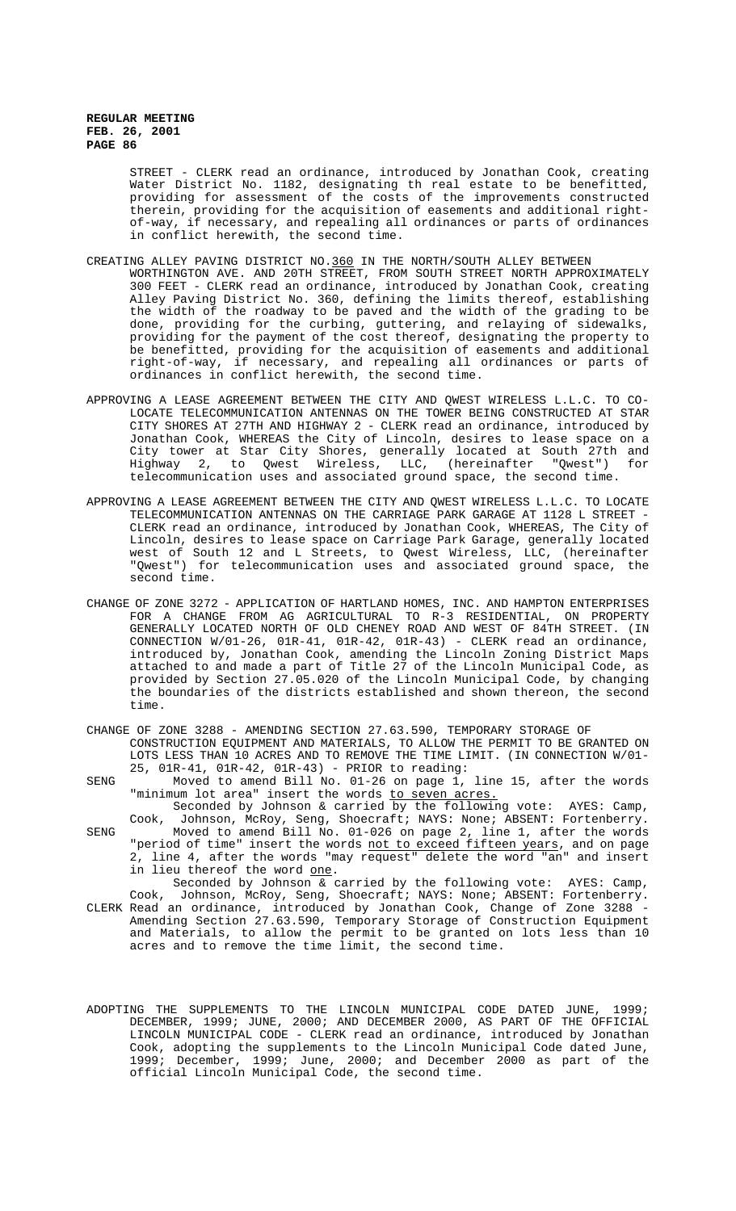STREET - CLERK read an ordinance, introduced by Jonathan Cook, creating Water District No. 1182, designating th real estate to be benefitted, providing for assessment of the costs of the improvements constructed therein, providing for the acquisition of easements and additional rightof-way, if necessary, and repealing all ordinances or parts of ordinances in conflict herewith, the second time.

#### CREATING ALLEY PAVING DISTRICT NO.360 IN THE NORTH/SOUTH ALLEY BETWEEN

WORTHINGTON AVE. AND 20TH STREET, FROM SOUTH STREET NORTH APPROXIMATELY 300 FEET - CLERK read an ordinance, introduced by Jonathan Cook, creating Alley Paving District No. 360, defining the limits thereof, establishing the width of the roadway to be paved and the width of the grading to be done, providing for the curbing, guttering, and relaying of sidewalks, providing for the payment of the cost thereof, designating the property to be benefitted, providing for the acquisition of easements and additional right-of-way, if necessary, and repealing all ordinances or parts of ordinances in conflict herewith, the second time.

- APPROVING A LEASE AGREEMENT BETWEEN THE CITY AND QWEST WIRELESS L.L.C. TO CO-LOCATE TELECOMMUNICATION ANTENNAS ON THE TOWER BEING CONSTRUCTED AT STAR CITY SHORES AT 27TH AND HIGHWAY 2 - CLERK read an ordinance, introduced by Jonathan Cook, WHEREAS the City of Lincoln, desires to lease space on a City tower at Star City Shores, generally located at South 27th and Highway 2, to Qwest Wireless, LLC, (hereinafter "Qwest") for telecommunication uses and associated ground space, the second time.
- APPROVING A LEASE AGREEMENT BETWEEN THE CITY AND QWEST WIRELESS L.L.C. TO LOCATE TELECOMMUNICATION ANTENNAS ON THE CARRIAGE PARK GARAGE AT 1128 L STREET - CLERK read an ordinance, introduced by Jonathan Cook, WHEREAS, The City of Lincoln, desires to lease space on Carriage Park Garage, generally located west of South 12 and L Streets, to Qwest Wireless, LLC, (hereinafter "Qwest") for telecommunication uses and associated ground space, the second time.
- CHANGE OF ZONE 3272 APPLICATION OF HARTLAND HOMES, INC. AND HAMPTON ENTERPRISES FOR A CHANGE FROM AG AGRICULTURAL TO R-3 RESIDENTIAL, ON PROPERTY GENERALLY LOCATED NORTH OF OLD CHENEY ROAD AND WEST OF 84TH STREET. (IN CONNECTION W/01-26, 01R-41, 01R-42, 01R-43) - CLERK read an ordinance, introduced by, Jonathan Cook, amending the Lincoln Zoning District Maps attached to and made a part of Title 27 of the Lincoln Municipal Code, as provided by Section 27.05.020 of the Lincoln Municipal Code, by changing the boundaries of the districts established and shown thereon, the second time.
- CHANGE OF ZONE 3288 AMENDING SECTION 27.63.590, TEMPORARY STORAGE OF CONSTRUCTION EQUIPMENT AND MATERIALS, TO ALLOW THE PERMIT TO BE GRANTED ON LOTS LESS THAN 10 ACRES AND TO REMOVE THE TIME LIMIT. (IN CONNECTION W/01- 25, 01R-41, 01R-42, 01R-43) - PRIOR to reading:
- SENG Moved to amend Bill No. 01-26 on page 1, line 15, after the words "minimum lot area" insert the words to seven acres.

Seconded by Johnson & carried by the following vote: AYES: Camp, Cook, Johnson, McRoy, Seng, Shoecraft; NAYS: None; ABSENT: Fortenberry. SENG Moved to amend Bill No. 01-026 on page 2, line 1, after the words

"period of time" insert the words not to exceed fifteen years, and on page 2, line 4, after the words "may request" delete the word "an" and insert in lieu thereof the word one.

- Seconded by Johnson & carried by the following vote: AYES: Camp, Cook, Johnson, McRoy, Seng, Shoecraft; NAYS: None; ABSENT: Fortenberry. CLERK Read an ordinance, introduced by Jonathan Cook, Change of Zone 3288 - Amending Section 27.63.590, Temporary Storage of Construction Equipment and Materials, to allow the permit to be granted on lots less than 10 acres and to remove the time limit, the second time.
- ADOPTING THE SUPPLEMENTS TO THE LINCOLN MUNICIPAL CODE DATED JUNE, 1999; DECEMBER, 1999; JUNE, 2000; AND DECEMBER 2000, AS PART OF THE OFFICIAL LINCOLN MUNICIPAL CODE - CLERK read an ordinance, introduced by Jonathan Cook, adopting the supplements to the Lincoln Municipal Code dated June, 1999; December, 1999; June, 2000; and December 2000 as part of the official Lincoln Municipal Code, the second time.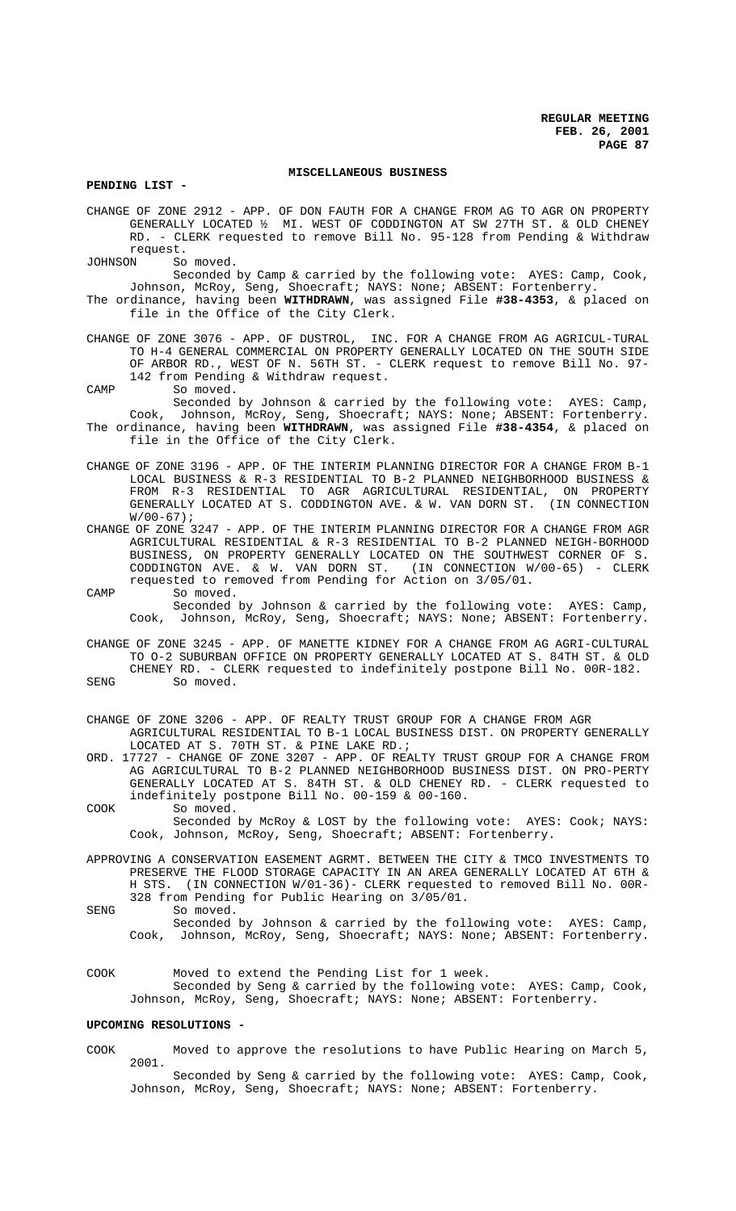#### **MISCELLANEOUS BUSINESS**

**PENDING LIST -** 

CHANGE OF ZONE 2912 - APP. OF DON FAUTH FOR A CHANGE FROM AG TO AGR ON PROPERTY GENERALLY LOCATED ½ MI. WEST OF CODDINGTON AT SW 27TH ST. & OLD CHENEY RD. - CLERK requested to remove Bill No. 95-128 from Pending & Withdraw request.<br>JOHNSON So

So moved. Seconded by Camp & carried by the following vote: AYES: Camp, Cook, Johnson, McRoy, Seng, Shoecraft; NAYS: None; ABSENT: Fortenberry.

- The ordinance, having been **WITHDRAWN**, was assigned File **#38-4353**, & placed on file in the Office of the City Clerk.
- CHANGE OF ZONE 3076 APP. OF DUSTROL, INC. FOR A CHANGE FROM AG AGRICUL-TURAL TO H-4 GENERAL COMMERCIAL ON PROPERTY GENERALLY LOCATED ON THE SOUTH SIDE OF ARBOR RD., WEST OF N. 56TH ST. - CLERK request to remove Bill No. 97- 142 from Pending & Withdraw request.
- CAMP So moved.
- Seconded by Johnson & carried by the following vote: AYES: Camp, Cook, Johnson, McRoy, Seng, Shoecraft; NAYS: None; ABSENT: Fortenberry. The ordinance, having been **WITHDRAWN**, was assigned File **#38-4354**, & placed on file in the Office of the City Clerk.
- CHANGE OF ZONE 3196 APP. OF THE INTERIM PLANNING DIRECTOR FOR A CHANGE FROM B-1 LOCAL BUSINESS & R-3 RESIDENTIAL TO B-2 PLANNED NEIGHBORHOOD BUSINESS & FROM R-3 RESIDENTIAL TO AGR AGRICULTURAL RESIDENTIAL, ON PROPERTY GENERALLY LOCATED AT S. CODDINGTON AVE. & W. VAN DORN ST. (IN CONNECTION  $W/00-67$ );
- CHANGE OF ZONE 3247 APP. OF THE INTERIM PLANNING DIRECTOR FOR A CHANGE FROM AGR AGRICULTURAL RESIDENTIAL & R-3 RESIDENTIAL TO B-2 PLANNED NEIGH-BORHOOD BUSINESS, ON PROPERTY GENERALLY LOCATED ON THE SOUTHWEST CORNER OF S. CODDINGTON AVE. & W. VAN DORN ST. (IN CONNECTION W/00-65) - CLERK requested to removed from Pending for Action on 3/05/01.
- CAMP So moved. Seconded by Johnson & carried by the following vote: AYES: Camp, Cook, Johnson, McRoy, Seng, Shoecraft; NAYS: None; ABSENT: Fortenberry.
- CHANGE OF ZONE 3245 APP. OF MANETTE KIDNEY FOR A CHANGE FROM AG AGRI-CULTURAL TO O-2 SUBURBAN OFFICE ON PROPERTY GENERALLY LOCATED AT S. 84TH ST. & OLD CHENEY RD. - CLERK requested to indefinitely postpone Bill No. 00R-182. SENG So moved.
- CHANGE OF ZONE 3206 APP. OF REALTY TRUST GROUP FOR A CHANGE FROM AGR
	- AGRICULTURAL RESIDENTIAL TO B-1 LOCAL BUSINESS DIST. ON PROPERTY GENERALLY LOCATED AT S. 70TH ST. & PINE LAKE RD.;
- ORD. 17727 CHANGE OF ZONE 3207 APP. OF REALTY TRUST GROUP FOR A CHANGE FROM AG AGRICULTURAL TO B-2 PLANNED NEIGHBORHOOD BUSINESS DIST. ON PRO-PERTY GENERALLY LOCATED AT S. 84TH ST. & OLD CHENEY RD. - CLERK requested to indefinitely postpone Bill No. 00-159 & 00-160.
- COOK So moved. Seconded by McRoy & LOST by the following vote: AYES: Cook; NAYS: Cook, Johnson, McRoy, Seng, Shoecraft; ABSENT: Fortenberry.
- APPROVING A CONSERVATION EASEMENT AGRMT. BETWEEN THE CITY & TMCO INVESTMENTS TO PRESERVE THE FLOOD STORAGE CAPACITY IN AN AREA GENERALLY LOCATED AT 6TH & H STS. (IN CONNECTION W/01-36)- CLERK requested to removed Bill No. 00R-328 from Pending for Public Hearing on 3/05/01.
- SENG So moved. Seconded by Johnson & carried by the following vote: AYES: Camp, Cook, Johnson, McRoy, Seng, Shoecraft; NAYS: None; ABSENT: Fortenberry.
- COOK Moved to extend the Pending List for 1 week. Seconded by Seng & carried by the following vote: AYES: Camp, Cook, Johnson, McRoy, Seng, Shoecraft; NAYS: None; ABSENT: Fortenberry.

#### **UPCOMING RESOLUTIONS -**

COOK Moved to approve the resolutions to have Public Hearing on March 5, 2001.

Seconded by Seng & carried by the following vote: AYES: Camp, Cook, Johnson, McRoy, Seng, Shoecraft; NAYS: None; ABSENT: Fortenberry.